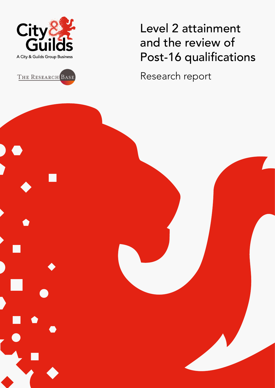



# Level 2 attainment and the review of Post-16 qualifications

Research report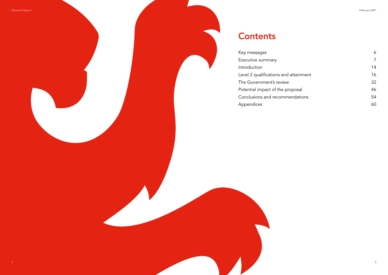

# **Contents**

[Key messages](#page-3-0) 6 and the set of the set of the set of the set of the set of the set of the set of the set of the set of the set of the set of the set of the set of the set of the set of the set of the set of the set of the s [Executive summary 7](#page-3-0) **[Introduction](#page-7-0)** Level 2 qualifications and att [The Government's review](#page-16-0) Potential impact of the prop Conclusions and recommend [Appendices](#page-30-0)

|          | O  |
|----------|----|
|          | 7  |
|          | 14 |
| tainment | 16 |
|          | 32 |
| osal     | 46 |
| dations  | 54 |
|          |    |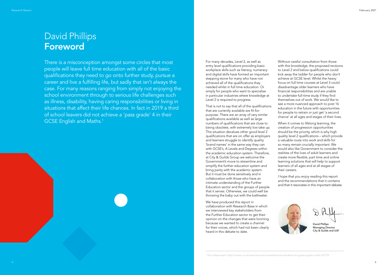

That is not to say that all of the qualifications that are currently available are fit-forpurpose. There are an array of very similar qualifications available as well as large numbers of qualifications that are close to being obsolete, with extremely low take up. This situation devalues other good level 2 qualifications that are on offer as employers and learners struggle to identify quality 'brand names' in the same way they can with GCSE's, A Levels and Degrees within the academic education system. Therefore, at City & Guilds Group we welcome the Government's move to streamline and simplify the further education system and bring parity with the academic system. But it must be done sensitively and in collaboration with those who have an intimate understanding of the Further Education sector and the groups of people that it serves. Otherwise, we could well be throwing the baby out with the bathwater.

Without careful consultation from those with this knowledge, the proposed revisions to Level 2 and below qualifications could kick away the ladder for people who don't achieve at GCSE level. Whilst the heavy focus on full time courses at Level 3 could disadvantage older learners who have financial responsibilities and are unable to undertake full-time study if they find themselves out of work. We would like to see a more nuanced approach to post 16 education in the future with opportunities for people to retrain or just get 'a second chance' at all ages and stages of their lives.

# David Phillips Foreword

We have produced this report in collaboration with Research Base in which we interviewed key stakeholders from the Further Education sector to get their opinion on the changes that were looming because we wanted to create a channel for their voices, which had not been clearly heard in this debate to date.

When it comes to lifelong learning, the creation of progression opportunities should be the priority, which is why high quality level 2 qualifications – which provide a valuable route into work and skills for so many remain crucially important. We would also like Government to consider the realities of the lives of adult learners and create more flexible, part time and online learning solutions that will help to support learners of all ages and at all stages of

their careers.

I hope that you enjoy reading this report and the recommendations that it contains and that it resonates in this important debate.



There is a misconception amongst some circles that most people will leave full time education with all of the basic qualifications they need to go onto further study, pursue a career and live a fulfilling life, but sadly that isn't always the case. For many reasons ranging from simply not enjoying the school environment through to serious life challenges such as illness, disability, having caring responsibilities or living in situations that affect their life chances. In fact in 2019 a third of school leavers did not achieve a 'pass grade' 4 in their GCSE English and Maths.1

David Phillips Managing Director City & Guilds and ILM

1 The Independent: [https://inews.co.uk/news/education/headteachers-students-fail-gcses-english-maths-351770](The Independent: https://inews.co.uk/news/education/headteachers-students-fail-gcses-english-maths-351770)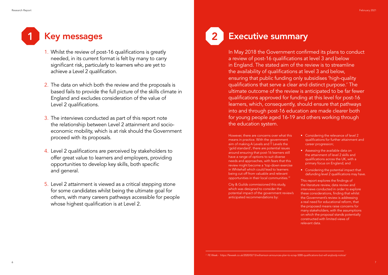<span id="page-3-0"></span>

# Key messages

- 1. Whilst the review of post-16 qualifications is greatly needed, in its current format is felt by many to carry significant risk, particularly to learners who are yet to achieve a Level 2 qualification.
- 2. The data on which both the review and the proposals is based fails to provide the full picture of the skills climate in England and excludes consideration of the value of Level 2 qualifications.
- 3. The interviews conducted as part of this report note the relationship between Level 2 attainment and socioeconomic mobility, which is at risk should the Government proceed with its proposals.
- 4. Level 2 qualifications are perceived by stakeholders to offer great value to learners and employers, providing opportunities to develop key skills, both specific and general.
- 5. Level 2 attainment is viewed as a critical stepping stone for some candidates whilst being the ultimate goal for others, with many careers pathways accessible for people whose highest qualification is at Level 2.

# **Executive summary**

In May 2018 the Government confirmed its plans to conduct a review of post-16 qualifications at level 3 and below in England. The stated aim of the review is to streamline the availability of qualifications at level 3 and below, ensuring that public funding only subsidises 'high-quality qualifications that serve a clear and distinct purpose.' The ultimate outcome of the review is anticipated to be far fewer qualifications approved for funding at this level for post-16 learners, which, consequently, should ensure that pathways into and through post-16 education are made clearer both for young people aged 16-19 and others working through the education system.

However, there are concerns over what this means in practice. With the government aim of making A Levels and T Levels the 'gold standard', there are potential issues around ensuring that post-16 learners still have a range of options to suit diverse needs and approaches, with fears that this review might become a 'top-down exercise in Whitehall which could lead to learners being cut off from valuable and relevant opportunities in their local communities.'2

City & Guilds commissioned this study, which was designed to consider the potential impact of the government review's anticipated recommendations by:

- Considering the relevance of level 2 qualifications for further attainment and career progression;
- Assessing the available data on the attainment of level 2 skills and qualifications across the UK, with a primary focus on England; and
- Considering the potential impact that defunding level 2 qualifications may have.

This report explores the findings of the literature review, data review and interviews conducted in order to explore these considerations, finding that whilst the Government's review is addressing a real need for educational reform, that the proposed means raise concerns for many stakeholders, with the assumptions on which the proposal stands potentially constructed with limited views of relevant data.

2 FE Week - <https://feweek.co.uk/2020/02/13/williamson-announces-plan-to-scrap-5000-qualifications-but-will-anybody-notice/>

2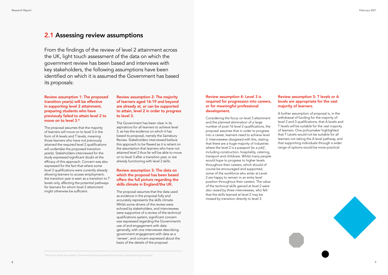## 2.1 Assessing review assumptions

From the findings of the review of level 2 attainment across the UK, light touch assessment of the data on which the government review has been based and interviews with key stakeholders, the following assumptions have been identified on which it is assumed the Government has based its proposals:

Review assumption 1: The proposed transition year(s) will be effective in supporting level 2 attainment, preparing students who have previously failed to attain level 2 to move on to level 3.\*

The proposal assumes that the majority of learners will move on to level 3 in the form of A levels and T levels, meaning those learners who have not previously attained the required level 2 qualifications will undertake the proposed transition year(s). Stakeholders interviewed for the study expressed significant doubt at the efficacy of this approach. Concern was also expressed for the fact that where some level 2 qualifications were currently already allowing learners to access employment, the transition year is seen as a transition to T levels only, affecting the potential pathways for learners for whom level 2 attainment might otherwise be sufficient.

## Review assumption 2: The majority of learners aged 16-19 and beyond are already at, or can be supported to attain, level 2 in order to progress to level 3.

The Government has been clear in its aspirations for all learners to achieve level 3, as has the evidence on which it has based its proposal, namely the Sainsbury Review. Stakeholders interviewed believe this approach to be flawed as it is reliant on the assumption that learners who have not attained level 2 thus far will be able to move on to level 3 after a transition year, or are already functioning with level 2 skills.

## Review assumption 3: The data on which the proposal has been based offers the full picture regarding the skills climate in England/the UK.

The proposal assumes that the data used as evidence in the proposal fully and accurately represents the skills climate. Whilst some drivers of the review were echoed by stakeholders, and interviewees were supportive of a review of the technical qualifications system, significant concern was expressed regarding the Government's use of and engagement with data generally, with one interviewee describing government engagement with data as a 'veneer', and concern expressed about the basis of the details of the proposal.

## Review assumption 4: Level 3 is required for progression into careers, or for meaningful professional development.

Considering the focus on level 3 attainment and the planned elimination of a large number of post-16 level 2 qualifications, the proposal assumes that in order to progress into a career, learners need to achieve level 3. Interviewees disagreed with this, stating that there are a huge majority of industries where the level 2 is a passport [to a job]', including construction, hospitality, catering, transport and childcare. Whilst many people would hope to progress to higher levels throughout their careers, which should of course be encouraged and supported, some of the workforce who enter at Level 2 are happy to remain in an entry level position throughout their careers. The value of the technical skills gained at level 2 were also raised by three interviewees, who felt that the skills learned at level 2 may be missed by transition directly to level 3.

## Review assumption 5: T levels or A levels are appropriate for the vast majority of learners.

A further assumption of proposal is, in the withdrawal of funding for the majority of level 2 and 3 qualifications, that A levels and T levels will be suitable for the vast majority of learners. One policymaker highlighted that T Levels would not be suitable for all learners not taking the A level pathway, and that supporting individuals through a wider range of options would be more practical.

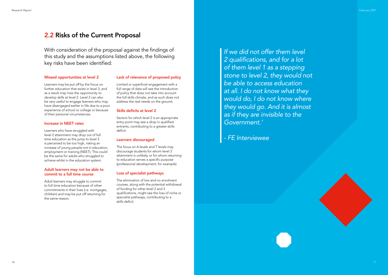## 2.2 Risks of the Current Proposal

With consideration of the proposal against the findings of this study and the assumptions listed above, the following key risks have been identified:

### Missed opportunities at level 2

Learners may be put off by the focus on further education that exists in level 3, and as a result may miss the opportunity to develop skills at level 2. Level 2 can also be very useful to engage learners who may have disengaged earlier in life due to a poor experience of school or college or because of their personal circumstances.

## Increase in NEET rates

Learners who have struggled with level 2 attainment may drop out of full time education as the jump to level 3 is perceived to be too high, risking an increase of young people not in education, employment or training (NEET). This could be the same for adults who struggled to achieve whilst in the education system.

## Adult learners may not be able to commit to a full time course

Adult learners may struggle to commit to full time education because of other commitments in their lives (i.e. mortgages, children) and may be put off returning for the same reason.

## Lack of relevance of proposed policy

Limited or superficial engagement with a full range of data will see the introduction of policy that does not take into account the full skills climate, and as such does not address the real needs on the ground.

## Skills deficits at level 2

Sectors for which level 2 is an appropriate entry point may see a drop in qualified entrants, contributing to a greater skills deficit.

## Learners discouraged

The focus on A levels and T levels may discourage students for whom level 3 attainment is unlikely, or for whom returning to education serves a specific purpose (professional development, for example).

## Loss of specialist pathways

The elimination of low and no enrolment courses, along with the potential withdrawal of funding for other level 2 and 3 qualifications, might see the loss of niche or specialist pathways, contributing to a skills deficit.

*If we did not offer them level 2 qualifications, and for a lot of them level 1 as a stepping stone to level 2, they would not be able to access education at all. I do not know what they would do, I do not know where they would go. And it is almost as if they are invisible to the Government.'*

*- FE Interviewee*

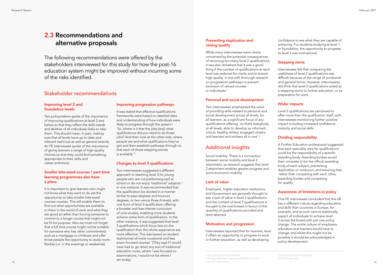## 2.3 Recommendations and alternative proposals

The following recommendations were offered by the stakeholders interviewed for this study for how the post-16 education system might be improved without incurring some of the risks identified.

## Stakeholder recommendations

## Improving level 2 and foundation levels

It is important to give learners who might not know what they want to do yet the opportunity to take smaller bite-sized courses courses. This will enable them to find out what opportunities are available to them in the world of work and what they are good at rather than forcing someone to commit to a longer course that might not be fit-for-purpose. Also we must not forget that a full time course might not be suitable for someone who has other commitments such as a mortgage or childcare and offer those people the opportunity to study more flexibly (i.e. in the evenings or weekends).

Two policymakers spoke of the importance of improving qualifications at level 2 and below so that they reflect the skills needs and abilities of all individuals likely to take them. This should mean, in part, making sure that all levels have up to date and relevant technical as well as general strands. An FE interviewee spoke of the importance of giving learners a range of high-quality choices so that they could find something appropriate to their skills and career ambitions.

## Smaller bite-sized courses / part time learning programmes also have a place

12 Million Providence and the interviewees the interviewees the contract of the interviewees the contract of the contract of the contract of the contract of the contract of the contract of the contract of the contract of t Two interviewees suggested a different approach to teaching level 3 for young people who are not performing well at school or do not enjoy 'traditional' subjects. 4 In one instance, it was recommended that the qualification be divided in a manner similar to pass degrees and honours degrees, or two versus three A levels, with one form of level 3 qualification offering a broader and less intense curriculum of core studies, enabling more students achieve some form of qualification. In the other instance, it was suggested that level 3 qualifications which focus less on the qualification than the whole experience are more effective. This was based on student testimonies of more vocational and less exam-focused courses: '[They say] if I would have had to go down any sort of traditional education route, where I was focused on examinations, I would not be where I am today.'

## Improving progression pathways

It was stated that effective qualifications frameworks were based on detailed data and understanding of how individuals were likely to progress through the system: 2 'So, where is it that the jobs [are]; what qualifications did you need to do those jobs? And then look at the other side, where people are and what qualifications they've got and then establish pathways through so that each of those stepping stones is available.' 3

## Changes to level 3 qualifications

## Preventing duplication and raising quality

While many interviewees were clearly concerned by the potential consequences of removing too many level 2 qualifications, it was also remarked that it was a good thing if the number of qualifications at each level was reduced for clarity and to ensure high quality, in line with thorough research on progression pathways to prevent exclusion of valued courses or individuals. 5

## Personal and social development

Two interviewees emphasised the value of providing skills related to personal and social development across all levels, for all learners, as a significant focus of any qualifications offering: 'so that's everybody at all levels, able to develop as informed, critical, healthy, skilled, engaged citizens and learners and workers all in one'. 6

## Additional insights

Social mobility: There is a connection between social mobility and level 2 attainment, as research suggests that level 2 attainment enables greater progress and socio-economic mobility.

## Lack of value

Employers, higher education institutions and Government are generally thought to see a lack of value in level 2 qualifications and the content of level 2 qualifications is thought to be overlooked in favour of the quantity of qualifications provided and level attained.

## Motivation and progression

Interviewees reported that for learners, level 2 offers an opportunity to progress to work or further education, as well as developing

confidence to see what they are capable of achieving. For students studying at level 1 or foundation, the opportunity to progress to level 2 was motivational.

## Stepping stone

Interviewees felt that comparing the usefulness of level 2 qualifications was difficult because of the range of vocational and general forms. However, interviewees did think that level 2 qualifications acted as a stepping stone to further education, or as preparation for work.

## Wider impacts

Level 2 qualifications are perceived to offer more than the qualification itself, with interviewees mentioning further positive impact including increased confidence, maturity and social skills.

## Dividing responsibility

A Further Education professional suggested that each speciality area for qualifications could be the responsibility of a specific awarding body. Awarding bodies would then compete to be the official awarding body of each subject, preventing duplication or confusion, and ensuring that: 'rather than competing with each other, [awarding bodies are] competing for quality.'

## Awareness of limitations in policy

One FE interviewee concluded that the UK has a different culture regarding education and skills than countries in Europe, for example, and as such cannot realistically expect all individuals to achieve level 3 across the board with just one policy change. The entire culture of employers, educators and learners would have to change, and whilst this might not be possible it should be acknowledged in policy development.

4 Two FE interviewees

6 One FE interview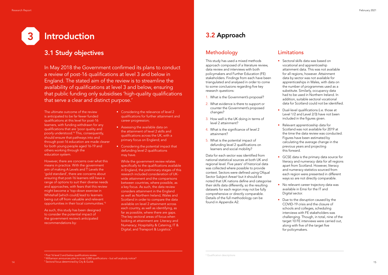<span id="page-7-0"></span>

# 3 Introduction 2018 12 Approach

## 3.1 Study objectives

In May 2018 the Government confirmed its plans to conduct a review of post-16 qualifications at level 3 and below in England. The stated aim of the review is to streamline the availability of qualifications at level 3 and below, ensuring that public funding only subsidises 'high-quality qualifications that serve a clear and distinct purpose.'

The ultimate outcome of the review is anticipated to be far fewer funded qualifications at this level for post-16 learners, with funding withdrawn for any qualifications that are 'poor quality and poorly understood.' 4 This, consequently, should ensure that pathways into and through post-16 education are made clearer for both young people aged 16-19 and others working through the education system.

However, there are concerns over what this means in practice. With the government aim of making A Levels and T Levels the 'gold standard', there are concerns about ensuring that post-16 learners still have a range of options to suit their diverse needs and approaches, with fears that this review might become a 'top-down exercise in Whitehall [which could] lead to learners being cut off from valuable and relevant opportunities in their local communities.' 5

While the government review relates specifically to the qualifications available in England, the preliminary stages of this research included consideration of UKwide attainment and the comparisons between countries, where possible, as a key focus. As such, the data review considers attainment in the England as well as Northern Ireland, Wales and Scotland in order to compare the data available on level 2 attainment across each country, as well as identifying, as far as possible, where there are gaps. The key sectoral areas of focus when looking at attainment are: Literacy and Numeracy; Hospitality & Catering; IT & Digital; and Transport & Logistics. 9

As such, this study has been designed to consider the potential impact of the government review's anticipated recommendations by:

- Considering the relevance of level 2 qualifications for further attainment and career progression;
- Assessing the available data on the attainment of level 2 skills and qualifications across the UK, with a primary focus on England; and
- Considering the potential impact that defunding level 2 qualifications may have.

• Sectoral skills data was based on vocational and apprenticeship attainment data. This was not available for all regions, however. Attainment data by sector was not available for apprenticeships in Wales, with data on the number of programmes used as a substitute. Similarly, occupancy data had to be used in Northern Ireland. In addition, suitable sectoral vocational data for Scotland could not be identified.

• Dual-level qualifications (i.e. those at Level 1/2 and Level 2/3) have not been included in the figures given.

- 
- this forward.
- 
- Digital sector.
- 

## Methodology

This study has used a mixed methods approach composed of a literature review, data review and interviews with both policymakers and Further Education (FE) stakeholders. Findings from each have been triangulated and analysed in order to come to some conclusions regarding five key research questions:

- 1. What is the Government's proposal?
- 2. What evidence is there to support or counter the Government's proposed changes?
- 3. How well is the UK doing in terms of level 2 attainment?
- 4. What is the significance of level 2 attainment?
- 5. What is the potential impact of defunding level 2 qualifications on learners and social mobility?

Data for each sector was identified from national statistical sources at both UK and regional level. Five years' of historical data was collected where possible to provide context. Sectors were defined using Ofqual Sector Subject Areas<sup>6</sup> but it should be noted that UK nations define and categorise their skills data differently, so the resulting datasets for each region may not be fully comprehensive or directly comparable. Details of the full methodology can be found in Appendix A2.

<sup>6</sup> [Qualification descriptions](https://www.gov.uk/government/publications/types-of-regulated-qualifications/qualification-descriptions)

## Limitations

• Relevant apprenticeship data for Scotland was not available for 2019 at the time the data review was conducted. Figures have been estimated by calculating the average change in the previous years and projecting

• GCSE data is the primary data source for literacy and numeracy data for all regions apart from Scotland. However, literacy and numeracy statistics sourced from each region were presented in different ways so are not directly comparable.

• No relevant career trajectory data was available in Emsi for the IT and

• Due to the disruption caused by the COVID-19 crisis and the closure of schools and colleges, scheduling interviews with FE stakeholders was challenging. Though, in total, nine of the target 10 FE interviews were carried out, along with five of the target five for policymakers.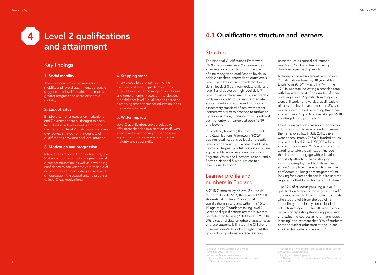<span id="page-8-0"></span>

# Level 2 qualifications 4 4.1 Qualifications structure and learners and attainment

## Key findings

### 1. Social mobility

There is a connection between social mobility and level 2 attainment, as research suggests that level 2 attainment enables greater progress and socio-economic mobility.

## 2. Lack of value

Employers, higher education institutions and Government are all thought to see a lack of value in level 2 qualifications and the content of level 2 qualifications is often overlooked in favour of the quantity of qualifications provided and level attained.

## 3. Motivation and progression

Interviewees reported that for learners, level 2 offers an opportunity to progress to work or further education, as well as developing confidence to see what they are capable of achieving. For students studying at level 1 or foundation, the opportunity to progress to level 2 was motivational.

## 4. Stepping stone

Interviewees felt that comparing the usefulness of level 2 qualifications was difficult because of the range of vocational and general forms. However, interviewees did think that level 2 qualifications acted as a stepping stone to further education, or as preparation for work.

> In Scotland, however, the Scottish Credit and Qualifications Framework (SCQF) outlines qualifications by level and credit. Levels range from 1-12, where level 12 is a Doctoral Degree. Scottish Nationals 1-3 are equivalent to entry level qualifications in England, Wales and Northern Ireland, and a Scottish National 5 is equivalent to a level 2 qualification.<sup>10</sup>

## 5. Wider impacts

Level 2 qualifications are perceived to offer more than the qualification itself, with interviewees mentioning further positive impact including increased confidence, maturity and social skills.

## **Structure**

barriers such as special educational needs and/or disabilities, or being from disadvantaged backgrounds.<sup>12</sup>

Nationally, the achievement rate for level 2 qualifications taken by 18 year olds in England in 2016/17 was  $81\%$ ,<sup>13</sup> with the 19% failure rate indicating a broader issue with low attainment. One quarter of those pursuing a level 2 qualification at age 17 were still working towards a qualification of the same level a year later, and 8% had moved down a level, indicating that those studying level 2 qualifications at ages 16-18 are struggling to progress.<sup>14</sup>

The National Qualifications Framework (NQF) 7 recognises level 2 attainment as an educational standard sitting as part of nine recognised qualification levels (in addition to three antecedent 'entry levels'). Level 1 and below are considered 'low skills', levels 2-3 as 'intermediate skills' and level 4 and above as 'high level skills.' 8 Level 2 qualifications are GCSEs at grades 9-4 (previously A\* to C), an intermediate apprenticeship or equivalent.<sup>9</sup> It is also a necessary standard of achievement for learners who wish to proceed to further or higher education, marking it as a significant point of entry for learners at both 16-19 and beyond.

> Just 39% of students pursuing a level 2 qualification at age 17 move on to a level 3 course afterwards. In fact, those individuals who study level 2 from the age of 16 are unlikely to be in any sort of funded education at age 19. The DfE refer to this pattern of repeating study, dropping back and switching courses as 'churn and repeat learning' and estimate that 20% of students entering further education at age 16 are stuck in this pattern of learning.<sup>16</sup>

 $\blacksquare$ 16 in the contract of the contract of the contract of the contract of the contract of the contract of the contract of the contract of the contract of the contract of the contract of the contract of the contract of t 11 & 13 [Level 2 study programmes](https://assets.publishing.service.gov.uk/government/uploads/system/uploads/attachment_data/file/936094/Level_2_study_programmes_231118.pdf)

## Learner profile and numbers in England

A 2018 Ofsted study of level 2 curricula found that in 2016/17, there were 179,000 students taking level 2 vocational qualifications in England within the 16 to 19 age range.<sup>11</sup> Students taking level 2 vocational qualifications are more likely to be male than female (99,000 versus 75,000). While national data on other characteristics of these students is limited, the Children's Commissioner's Report highlights that this group disproportionately face learning

Level 2 qualifications are also intended for adults returning to education to increase their employability. In July 2018, there were approximately 765,000 funded adults studying at level 2, and 930,000 adults studying below level 2. Reasons for adults wanting to take a qualification include the desire to re-engage with education and study after time away; studying alongside employment to bolster their skillset/workplace characteristics (such as confidence-building or management); or looking for a career change but lacking the required skillset for a change in industries.15

7 England, Northern Ireland and Wales

<sup>8</sup> Ambition 2020 Report

9 [What qualification levels mean](https://www.gov.uk/what-different-qualification-levels-mean/list-of-qualification-levels)

<sup>10</sup> [Understanding the framework levels and credits](https://education.gov.scot/parentzone/learning-in-scotland/assessment-and-achievement/qualifications/understanding-the-framework-levels-and-credits/)

in England

<sup>12</sup> [Almost one in five children left education at 18 last year](https://www.childrenscommissioner.gov.uk/2019/09/20/almost-one-in-five-children-left-education-at-18-last-year-without-basic-qualifications/)  [without basic qualifications](https://www.childrenscommissioner.gov.uk/2019/09/20/almost-one-in-five-children-left-education-at-18-last-year-without-basic-qualifications/)

<sup>&</sup>lt;sup>14</sup> [Earning and Learning report](https://www.ippr.org/files/publications/pdf/earning-and-learning_Nov2016.pdf?noredirect=1)

<sup>&</sup>lt;sup>15 & 16</sup> Review of post-16 qualifications at level 3 and below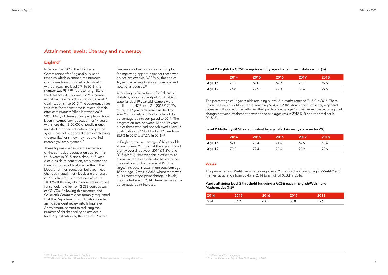## Attainment levels: Literacy and numeracy

## England<sup>17</sup>

In September 2019, the Children's Commissioner for England published research which examined the number of children leaving English schools at 18 without reaching level 2.<sup>18</sup> In 2018, this number was 98,799, representing 18% of the total cohort. This was a 28% increase in children leaving school without a level 2 qualification since 2015. The occurrence rate thus rose for the first time in over a decade, after continuously falling between 2005- 2015. Many of these young people will have been in compulsory education for 14 years, with more than £100,000 of public money invested into their education, and yet the system has not supported them in achieving the qualifications they may need to find meaningful employment.19

These figures are despite the extension of the compulsory education age from 16 to 18 years in 2015 and a drop in 18 year olds outside of education, employment or training from 6.6% to 4% since then. The Department for Education believes these changes in attainment levels are the result of 2013/14 reforms introduced after the 2011 Wolf Review, which reduced incentives for schools to offer non-GCSE courses such as GNVQs. Following this research, the Children's Commissioner formally requested that the Department for Education conduct an independent review into falling level 2 attainment, commit to reducing the number of children failing to achieve a level 2 qualification by the age of 19 within

The percentage of Welsh pupils attaining a level 2 threshold, including English/Welsh<sup>23</sup> and mathematics range from 55.4% in 2014 to a high of 60.3% in 2016.

five years and set out a clear action plan for improving opportunities for those who do not achieve five GCSEs by the age of 16, such as access to apprenticeships and vocational courses.20

> Pupils attaining level 2 threshold Including a GCSE pass in English/Welsh and Mathematics (%)<sup>25</sup>

According to Department for Education statistics, published in April 2019, 84% of state-funded 19 year old learners were qualified to NQF level 2 in 2018.21 70.7% of these 19 year olds were qualified to level 2 in English and Maths, a fall of 0.7 percentage points compared to 2017. The progression rate between 16 and 19 years old of those who had not achieved a level 2 qualification by 16 but had at 19 rose from 25.9% in 2017 to 27.2% in 2018.22

In England, the percentage of 16 year olds attaining level 2 English at the age of 16 fell slightly overall between 2014 (71.2%) and 2018 (69.6%). However, this is offset by an overall increase in those who have attained the qualification by the age of 19. The largest increase in attainment between age 16 and age 19 was in 2016, where there was a 10.1 percentage point change in levels; the smallest was in 2014 where the was a 5.6 percentage point increase.

The percentage of 16 years olds attaining a level 2 in maths reached 71.6% in 2016. There has since been a slight decrease, reaching 68.4% in 2018. Again, this is offset by a general increase in those who had attained the qualification by age 19. The largest percentage point change between attainment between the two ages was in 2018 (7.2) and the smallest in 2015 (2).

## Level 2 Maths by GCSE or equivalent by age of attainment, state sector (%)

|               | 2014  | 2015 | 2016 | 2017 | 2018 |
|---------------|-------|------|------|------|------|
| Age 16        | 6/0.0 | 70.4 | 71.6 | 69.5 | 68.4 |
| <b>Age 19</b> | 70.5  | 72.4 | 75.6 | 75.9 | 75.6 |

### **Wales**

| 2014 | 2015 | DN 1 A | דוממ | ס ו∩כ |
|------|------|--------|------|-------|
| 55.4 | 57 Q | 60.3   | 55.8 | 56.6  |

### Level 2 English by GCSE or equivalent by age of attainment, state sector (%)

|               | 2014 | 2015 | 2016 | 2017 | 2018 |
|---------------|------|------|------|------|------|
| <b>Age 16</b> | 71.2 | 69.0 | 69.2 | 70.7 | 69.6 |
| Age 19        | 76.8 | 77 9 | 79.3 | 80.4 | 79.5 |

<sup>17,21 &</sup>amp; 22 [Level 2 and 3 attainment in England](https://assets.publishing.service.gov.uk/government/uploads/system/uploads/attachment_data/file/791405/L23_attainment_2018_main_text.pdf) 18,19 & 20 [Almost one in five children left education at 18 last year without basic qualifications](https://www.childrenscommissioner.gov.uk/2019/09/20/almost-one-in-five-children-left-education-at-18-last-year-without-basic-qualifications/)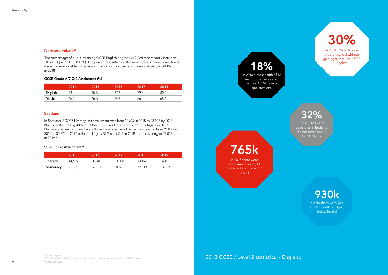## Northern Ireland<sup>26</sup>

In Scotland, SCQF5 Literacy unit attainment rose from 14,639 in 2015 to 23,028 by 2017. Numbers then fell by 40% to 13,496 in 2018 and recovered slightly to 14,401 in 2019. Numeracy attainment numbers followed a similar broad pattern, increasing from 21,830 in 2015 to 30,871 in 2017 before falling by 37% to 19,513 in 2018 and recovering to 23,032 in 2019.31

### SCQF5 Unit Attainment<sup>32</sup>

  $\blacksquare$  Statistics 2020 [Insites report](https://ccea.org.uk/examiner-centre-support/results-statistics/insight-reports)  <sup>31</sup> The Scottish Qualifications Authority does not offer an explanation for the 2018 drops [Statistics 2020](https://www.sqa.org.uk/sqa/64717.html)

|                 | 2015   | 2016   | 2017   | 2018   | 2019   |
|-----------------|--------|--------|--------|--------|--------|
| Literacy        | 14,639 | 20,840 | 23,028 | 13,496 | 14,401 |
| <b>Numeracy</b> | 21,830 | 26,131 | 30,871 | 19,513 | 23,022 |

The percentage of pupils attaining GCSE English at grade A/7-C/4 rose steadily between 2014 (73%) and 2018 (80.2%). The percentage attaining the same grades in maths was lower; it was generally stable in the region of 66% for most years, increasing slightly to 68.1% in 2018.

### GCSE Grade A/7-C/4 Attainment (%)

|         | 2014 | 2015 | 2016 | 2017 | 2018' |  |
|---------|------|------|------|------|-------|--|
| English |      | 75.8 | 77 R | 79.6 | 80.2  |  |
| Maths   | 66.2 | 66.6 | 64.9 | 66.4 | 68.   |  |

## **Scotland**

765k In 2018 there were approximately 765,000 funded adults studying at

level 2

32%

In 2018 32% of 16 years olds in England did not attain level 2 GCSE Maths



In 2018 there were 930k funded adults studying below level 2



18% in 2018 almost a fifth of 16 year olds left education with no GCSE level 2 qualifications



In 2018 30% of 16 year olds left school without gaining a level 2 in GCSE English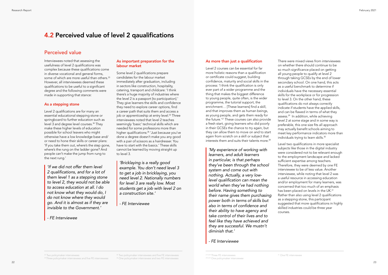## 4.2 Perceived value of level 2 qaualifications

## Perceived value

Interviewees noted that assessing the usefulness of level 2 qualifications was complex because these qualifications come in diverse vocational and general forms, some of which are more useful than others.<sup>33</sup> However, all interviewees deemed these qualifications to be useful to a significant degree and the following comments were made in supporting that stance:

## As a stepping stone

Level 2 qualifications are for many an essential educational stepping stone or springboard to further education such as level 3 and degree level courses.<sup>34</sup> They make these higher levels of education possible for school leavers who might otherwise have a low knowledge base and/ or need to hone their skills or career plans: 'If you take them out, where's the step gone, where's the rung on the ladder gone? And people can't make the jump from rung to the next rung.'

*'If we did not offer them level 2 qualifications, and for a lot of them level 1 as a stepping stone to level 2, they would not be able to access education at all. I do not know what they would do, I do not know where they would go. And it is almost as if they are invisible to the Government.'*

*- FE Interviewee*

## As important preparation for the labour market

Level 2 courses can be essential for far more holistic reasons than a qualification or certificate could suggest, building confidence, maturity and social skills in the process: 'I think the qualification is only ever part of a wider programme and the thing that makes the biggest difference to young people, quite often, is the wider programme, the tutorial support, the enrichment… [These learners] find a skill, and that improves them as human beings, as young people, and gets them ready for the future.'27 These courses can also provide a fresh start, giving learners who did poorly in their GCSEs the chance to try again, but they can allow them to move on and to start again from scratch on a skill or subject that interests them and suits their talents more. $28$ 

Some level 2 qualifications prepare candidates for the labour market immediately after graduation, including in sectors like construction, hospitality, catering, transport and childcare: 'I think there's a huge majority of industries where the level 2 is a passport [to participation].' They give learners the skills and confidence they need to explore career options, find a career path that suits them and access a job or apprenticeship at entry level.<sup>35</sup> Three interviewees noted that level 2 teaches seemingly 'basic' technical skills which are needed for some professions more than higher qualifications:<sup>36</sup> 'Just because you've done a degree doesn't make you any good with a pair of scissors as a hairdresser. You have to start with the basics.' These skills cannot be learned by moving straight up to level 3.

There were mixed views from interviewees on whether there should continue to be so much significance placed on getting all young people to qualify at level 2 through taking GCSEs by the end of lower secondary school. On one hand, this acts as a useful benchmark to determine if individuals have the necessary essential skills for the workplace or for progression to level 3. On the other hand, these qualifications do not always correctly indicate if students have the applied skills, and can be flawed in terms of what they assess.29 In addition, while achieving level 2 at some stage and in some way is preferable, this one size fits all approach may actually benefit schools aiming to meet key performance indicators more than individuals trying to learn skills.<sup>30</sup>

*'Bricklaying is a really good example. You don't need level 3 to get a job in bricklaying, you need level 2. Nationally numbers for level 3 are really low. Most students get a job with level 2 on a construction site.'*

*- FE Interviewee*

## As more than just a qualification

*'My experience of working with learners, and adult learners in particular, is that perhaps they've been through the school system and come out with nothing. Actually, a very lowlevel qualification can mean the world when they've had nothing before. Having something to their name gives them purchasing power both in terms of skills but also in terms of confidence and their ability to have agency and take control of their lives and to feel like they have achieved and they are successful. We mustn't diminish that.'*

*- FE Interviewee*

Level two qualifications in more specialist subjects like those in the digital industry were considered not to be relevant enough to the employment landscape and lacked sufficient expertise among teachers. Therefore, they were deemed by one FE interviewee to be of less value. Another interviewee, while noting that level 2 was a useful resource in accessing education and/or employment for many learners, was concerned that too much of an emphasis has been placed on levels in the UK.<sup>31</sup> Rather than also using level 2 qualifications as a stepping stone, this participant suggested that more qualifications in highly skilled industries could be three year

courses.

<sup>33</sup> Two policymaker interviewees <sup>34</sup> Three policymaker interviewees and five FE interviewees <sup>35</sup> Two policymaker interviewees and five FE interviewees <sup>36</sup> One policymaker interviewee and two FE interviewees 27 & 28 Three FE interviewees

<sup>29 &</sup>amp; 30 One policymaker interviewee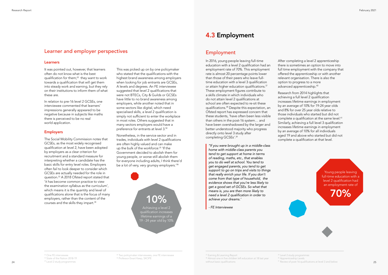## Learner and employer perspectives

## Learners

It was pointed out, however, that learners often do not know what is the best qualification for them;<sup>32</sup> they want to work towards a qualification that will get them into steady work and earning, but they rely on their institutions to inform them of what these are.

In relation to pre-16 level 2 GCSEs, one interviewee commented that learners' impressions generally appeared to be negative because in subjects like maths there is perceived to be no real world application.

### Employers

The Social Mobility Commission notes that GCSEs, as the most widely recognised qualification at level 2, have been adopted by employers as a clear criterion for recruitment and a standard measure for interpreting whether a candidate has the basic skills for entry level roles. Employers often fail to look deeper to consider which GCSEs are actually needed for the role in question.33 A 2018 Ofsted report stated that 'it has become common practice to view the examination syllabus as the curriculum', which means it is the quantity and level of qualifications alone that is the focus of many employers, rather than the content of the courses and the skills they impart.34

> <sup>35</sup> Two policymaker interviewees, one FE interviewee 36 Professor Ewart Keep, SKOPE

This was picked up on by one policymaker who stated that the qualifications with the highest brand awareness among employers when looking for job entrants are GCSEs, A levels and degrees. An FE interviewee suggested that level 2 qualifications that were not BTECs, City & Guilds or GCSEs have little to no brand awareness among employers, while another noted that in some sectors like digital, which need specialised skills, a level 2 qualification is simply not sufficient to enter the workplace in most roles. Others suggested that in many sectors employers would have a preference for entrants at level 3.50

Nonetheless, in the service sector and in trades, individuals with level 2 qualifications are often highly valued and can make up the bulk of the workforce:<sup>35</sup> 'If the Government decided to abolish them for young people, or worse still abolish them for everyone including adults, I think there'd be a lot of very, very grumpy employers.'36

10% Achieving a level 2 qualification increases lifetime earnings of a 19 - 24 year old by 10%

## 4.3 Employment

## Employment

In 2016, young people leaving full-time education with a level 2 qualification had an employment rate of 70%. This employment rate is almost 20 percentage points lower than those of their peers who leave fulltime education with a level 3 qualification or attain higher education qualifications.<sup>37</sup> These employment figures contribute to a skills climate in which individuals who do not attain level 2 qualifications at school are often expected to re-sit these qualifications.38 Despite this expectation, an Ofsted report has expressed concern that these students, 'have often been less visible than others in the post-16 system… and have been overshadowed by the larger and better understood majority who progress directly onto level 3 study after completing GCSEs'.39

*''If you were brought up in a middle-class home with middle-class parents you tend to get support at home in terms of reading, maths, etc., that enables you to do well at school. You tend to get engaged parents, you tend to get support to go on trips and visits to things that really enrich your life. If you don't come from that type of household, the evidence shows that you're less likely to get a good set of GCSEs. So what that means is, you are then more likely to need a level 2 qualification in order to achieve your dreams.'*

*- FE Interviewee*

After completing a level 2 apprenticeship there is sometimes an option to move into full time employment with the company that offered the apprenticeship or with another relevant organisation. There is also the option to progress to a more advanced apprenticeship.40

Research from 2014 highlights that achieving a full level 2 qualification increases lifetime earnings in employment by an average of 10% for 19-24 year olds and 8% for over 25 year olds relative to those individuals who started but did not complete a qualification at the same level.<sup>41</sup> Similarly, achieving a full level 3 qualification increases lifetime earnings in employment by an average of 10% for all individuals aged 19 and above who started but did not complete a qualification at that level.

40 [Apprenticeship Levels](https://creativealliance.org.uk/what-learned-creative-digital-apprenticeships/)

Young people leaving full-time education with a level 2 qualification had an employment rate of

70%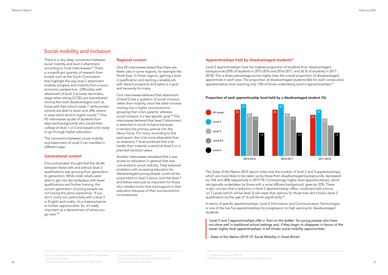## Social mobility and inclusion

There is a very deep connection between social mobility and level 2 attainment, according to most interviewees.<sup>58</sup> There is a significant quantity of research from bodies such as the Youth Commission that highlight the way level 2 attainment enables progress and mobility from a socioeconomic perspective. Difficulties with attainment of level 2 at lower secondary stage when sitting GCSEs are exacerbated among the most disadvantaged, such as those with free school meals,<sup>43</sup> while private schools are able to teach and offer exams in ways which lend to higher scores.<sup>44</sup> One FE interviewee spoke of students from deprived backgrounds who joined their college at level 1 or 2 and stayed until ready to go through higher education.

The connection between social mobility and attainment of Level 2 can manifest in different ways:

### Generational context

One policymaker thought that the divide between those with and without level 2 qualifications was growing from generation to generation. While older adults were able to get into the workplace with fewer qualifications and further training, the current generation of young people are not having the same experience: 'If you don't come out, particularly with a level 2 in English and maths, it's a massive barrier to further opportunities. So, it's really important as a determinant of where you go next.'45

### Regional context

Level 2 apprenticeships have the highest proportion of students from disadvantaged backgrounds (29% of students in 2015-2016 and 2016-2017; and 26 % of students in 2017- 2018). This is three percentage points higher than the overall proportion of disadvantaged apprentices in each year. The proportion of disadvantaged students falls for each consecutive apprenticeship level reaching only 13% of those undertaking Level 6 apprenticeships.<sup>49</sup>

One FE interviewee stated that there are fewer jobs in some regions, for example the North East. In those regions, gaining a level 2 qualification and starting a reliable job with decent prospects and salary is a goal and necessity for many.

> The State of the Nation 2019 report notes that the number of level 2 and 3 apprenticeships, which are more likely to be taken up by those from disadvantaged backgrounds, decreased by 16% and 38% respectively in 2017/18. Contrastingly, higher level apprenticeships, which are typically undertaken by those with a more affluent background, grew by 32%. There is also concern that a reduction in level 2 apprenticeship offers, combined with a focus on T Levels (which will be level 3) will mean that options for those that don't hold a level 2 qualification by the age of 16 will shrink significantly.<sup>48</sup>

One interviewee believed that attainment of level 2 was a question of social inclusion, rather than mobility, since the latter involves moving into a higher socioeconomic grouping than one's parents, whereas social inclusion is a less specific goal.<sup>46</sup> This interviewee believed that level 2 attainment is essential to social inclusion because it remains the primary avenue into the labour force. For many, according to this participant, this is far more attainable than an extensive T level workload that is far harder than material covered at level 2 or in planned transition years.

Another interviewee remarked that it was access to education in general that was connected to social mobility. They believed problems with accessing education for disadvantaged young people could not be pinpointed on level 2 alone, and that level 1 and below were just as important for those who needed more time and support in their education because of their socioeconomic circumstances.

### Apprenticeships held by disadvantaged students<sup>47</sup>

46 One policymaker interviewee

In terms of specific apprenticeships, Level 2 Information and Communication Technologies is one of the top five apprenticeships for progression to high earning for disadvantaged students.

*'Level 2 and 3 apprenticeships offer a 'foot on the ladder' for young people who have not done well in traditional school settings and, if they begin to disappear in favour of the newer higher level apprenticeships, it will hinder social mobility opportunities.'*

*- State of the Nation 2018-19: Social Mobility in Great Britain*

Proportion of each apprenticeship level held by a disadvantaged student (%)



<sup>58</sup> Four policymaker interviewees and eight FE interviewees 42 One FE interviewee

 $^{43}$  Two policymaker interviewees, one FE interviewee  $^{46}$  One policymaker interviewee  $27$ 

<sup>44</sup> One policymaker interviewee

<sup>45</sup> Dr Fiona Aldridge, Learning and Work Institute

<sup>49</sup> [Post-16 education: outcomes for disadvantaged students](https://assets.publishing.service.gov.uk/government/uploads/system/uploads/attachment_data/file/916163/Post_16_education_outcomes_for_disadvantaged_students.pdf)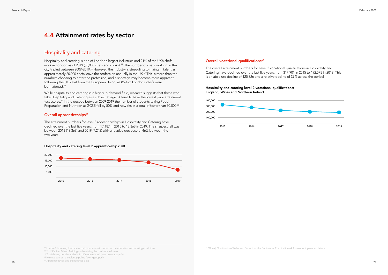Hospitality and catering is one of London's largest industries and 21% of the UK's chefs work in London as of 2019 (55,000 chefs and cooks).<sup>55</sup> The number of chefs working in the city tripled between 2009-2019.<sup>56</sup> However, the industry is struggling to maintain talent as approximately 20,000 chefs leave the profession annually in the UK.<sup>57</sup> This is more than the numbers choosing to enter the profession, and a shortage may become more apparent following the UK's exit from the European Union, as 85% of London's chefs were born abroad.<sup>58</sup>

## 4.4 Attainment rates by sector

## Hospitality and catering

While hospitality and catering is a highly in-demand field, research suggests that those who take Hospitality and Catering as a subject at age 14 tend to have the lowest prior attainment test scores.59 In the decade between 2009-2019 the number of students taking Food Preparation and Nutrition at GCSE fell by 50% and now sits at a total of fewer than 50,000.<sup>60</sup>

### Overall apprenticeships<sup>61</sup>

<sup>55</sup> [London's booming food scene could turn sour without action on education and working conditions](https://www.centreforlondon.org/news/londons-food-scene-could-turn-sour/) 56, 57 & 58 [Kitchen Talent: Training and retaining the chefs of the future](https://www.centreforlondon.org/publication/kitchen-talent/)

59 Social class, gender and ethnic differences in subjects taken at age 14

The attainment numbers for level 2 apprenticeships in Hospitality and Catering have declined over the last five years, from 17,187 in 2015 to 13,363 in 2019. The sharpest fall was between 2018 (13,363) and 2019 (7,242) with a relative decrease of 46% between the two years.

60 [How we can get the talent pipeline flowing properly](https://feweek.co.uk/2019/07/07/how-can-we-get-the-talent-pipeline-flowing-properly/)

28 *28 Propositive stillings and traineersings data* <sup>61</sup> [Apprenticeships and traineeships data](https://www.gov.uk/government/statistical-data-sets/fe-data-library-apprenticeships)

## Hospitality and catering level 2 apprenticeships: UK



### Overall vocational qualifications<sup>62</sup>



<sup>62</sup> [Ofqual](https://www.gov.uk/government/statistical-data-sets/vocational-qualifications-dataset), [Qualifications Wales](https://www.qualificationswales.org/english/publications/vocational-quarterly-statistics/) and [Council for the Curriculum, Examinations & Assessment;](https://ccea.org.uk/regulation/reports-statistics/technical-and-professional-qualification-bulletins/browse-all) plus calculations.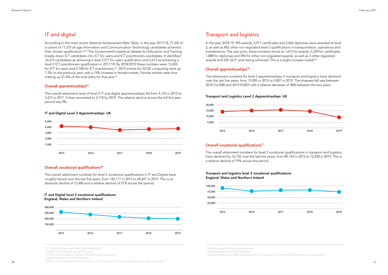According to the most recent National Achievement Rate Table, in the year 2017/18, 71.6% of a cohort of 11,270 all age Information and Communication Technology candidates achieved their chosen qualification.<sup>6364</sup> The Government's statistical dataset for Education and Training breaks down ICT candidates into ICT for users and ICT practitioners candidates. It identified 16,615 candidates as achieving a level 2 ICT for users qualification and 2,473 as achieving a level 2 ICT practitioners qualification in 2017/18. By 2018/2019 these numbers were 13,403 for ICT for users and 2,748 for ICT practitioners.<sup>65</sup> 2019 entries for GCSE computing were up 7.2% on the previous year, with a 14% increase in female entries. Female entries were thus making up 21.4% of the total entry for that year.<sup>66</sup>

## Overall apprenticeships<sup>67</sup>

## IT and digital

The overall attainment level of level 2 IT and digital apprenticeships fell from 4,103 in 2015 to 3,475 in 2017. It then recovered to 3,718 by 2019. The relative decline across the full five year period was 9%.

In the year 2018-19, 995 awards, 5,917 certificates and 2,606 diplomas were awarded at level 2, as well as 483 other non-regulated level 2 qualifications in transportation, operations and maintenance. The year prior, these numbers stood at 1,612 for awards, 5,239 for certificates, 1,888 for diplomas and 494 for other non-regulated awards, as well as 3 other regulated awards and 535 QCF units being achieved. This is a slight increase overall.<sup>69</sup>

### Overall apprenticeships<sup>70</sup>

63 & 64 [National Achievement Rate Tables March 2019](https://assets.publishing.service.gov.uk/government/uploads/system/uploads/attachment_data/file/789589/201718_NARTs_MainText.pdf)

<sup>65</sup> [Education and Training aim Achievement](https://assets.publishing.service.gov.uk/government/uploads/system/uploads/attachment_data/file/848354/ EducationandTraining_Aim_Achievement_1415_1819_final_v0.1.xlsx)

66 [GCSE results: Increase in number of females taking computing](https://edtechnology.co.uk/latest-news/gcse-results-increase-in-number-of-females-taking-computing/)

<sup>67</sup> [Apprenticeships and traineeships data](https://www.gov.uk/government/statistical-data-sets/fe-data-library-apprenticeships)

<sup>68</sup> [Ofqual](https://www.gov.uk/government/statistical-data-sets/vocational-qualifications-dataset), [Qualifications Wales](https://www.qualificationswales.org/english/publications/vocational-quarterly-statistics/) and [Council for the Curriculum, Examinations & Assessment;](https://ccea.org.uk/regulation/reports-statistics/technical-and-professional-qualification-bulletins/browse-all) plus calculations examediations and council for the Curriculum, Examinations & Assessment; plus calculations and council for the

The overall attainment numbers for level 2 vocational qualifications in IT and Digital have roughly halved over the last five years, from 142,177 in 2015 to 69,691 in 2019. This is an absolute decline of 72,486 and a relative decline of 51% across the period.

### IT and Digital level 2 vocational qualifications: England, Wales and Northern Ireland



### IT and Digital Level 2 Apprenticeships: UK



## Overall vocational qualifications<sup>68</sup>

## Transport and logistics

The attainment numbers for level 2 apprenticeships in transport and logistics have declined over the last five years, from 13,985 in 2015 to 9,007 in 2019. The sharpest fall was between 2018 (14,508) and 2019 (9,007) with a relative decrease of 38% between the two years.

The overall attainment numbers for level 2 vocational qualifications in transport and logistics have declined by 16,726 over the last five years, from 89,154 in 2015 to 72,428 in 2019. This is a relative decline of 19% across the period.

### Transport and Logistics Level 2 Apprenticeships: UK



## Overall vocational qualifications<sup>71</sup>

## Transport and logistics level 2 vocational qualifications: England, Wales and Northern Ireland



69 [Education and Training aim Achievement](https://assets.publishing.service.gov.uk/government/uploads/system/uploads/attachment_data/file/848354/ EducationandTraining_Aim_Achievement_1415_1819_final_v0.1.xlsx)

<sup>70</sup> [Apprenticeships and traineeships data](https://www.gov.uk/government/statistical-data-sets/fe-data-library-apprenticeships)

71 [Ofqual](https://www.gov.uk/government/statistical-data-sets/vocational-qualifications-dataset), [Qualifications Wales](https://www.qualificationswales.org/english/publications/vocational-quarterly-statistics/) and [Council for the Curriculum, Examinations & Assessment;](https://ccea.org.uk/regulation/reports-statistics/technical-and-professional-qualification-bulletins/browse-all) plus calculations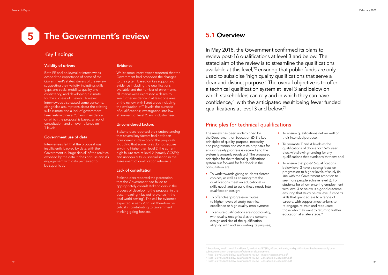<span id="page-16-0"></span>

## Key findings

## Validity of drivers

Both FE and policymaker interviewees echoed the importance of some of the Government's stated drivers of the review, suggesting their validity, including: skills gaps and social mobility; quality and consistency; and developing a climate for the success of T levels. However, interviewees also stated some concerns, citing false assumptions about the existing skills climate and a lack of government familiarity with level 2; flaws in evidence on which the proposal is based; a lack of consultation; and an over reliance on T levels.

## Government use of data

Interviewees felt that the proposal was insufficiently backed by data, with the Government in 'huge denial' of the realities exposed by the data it does not use and it's engagement with data perceived to be superficial.

## **Evidence**

Stakeholders reported their understanding that several key factors had not been considered in developing the proposals, including that some roles do not require anything higher than level 2; the current high failure rate at level 2 (namely GCSEs); and unpopularity vs. specialisation in the assessment of qualification relevance.

# The Government's review 5 5.1 Overview

Whilst some interviewees reported that the Government had proposed the changes to the system based on key supporting evidence including the qualifications available and the number of enrolments, all interviewees expressed a desire to see further evidence in at least one area of the review, with listed areas including: the evaluation of T levels; the purpose of qualifications; investigation into low attainment of level 2; and industry need.

## Unconsidered factors

## Lack of consultation

• To promote T and A levels as the qualifications of choice for 16-19 year olds, withdrawing funding for any qualifications that overlap with them; and

• To ensure that post-16 qualifications below level 3 have a strong focus on progression to higher levels of study (in line with the Government ambition to see more people achieve level 3). For students for whom entering employment with level 3 or below is a good outcome, ensuring that study below level 3 imparts skills that grant access to a range of careers, with support mechanisms to re-engage, re-train and reeducate those who may want to return to further education at a later stage.<sup>75</sup>

Stakeholders reported the perception that the Government had failed to appropriately consult stakeholders in the process of developing the proposal in the past, meaning it lacked relevance in the 'real world setting'. The call for evidence expected in early 2021 will therefore be critical in contributing to Government thinking going forward.

 $<sup>72</sup>$  Entry level, level 1, level 2 and level 3, excluding GCSE's, AS and A Levels, and qualifications that have recently been</sup> subject to or are in the process of reform or development. <sup>73</sup> Post 16 level 3 and below qualifications review - Impact Assessments.pdf 74 Post 16 level 3 and below qualifications review - Consultation Document.pdf

 $^{32}$  33  $^{35}$  Post 16 level 3 and below qualifications review - Consultation Document.pdf  $^{35}$ 

In May 2018, the Government confirmed its plans to review post-16 qualifications at level 3 and below. The stated aim of the review is to streamline the qualifications available at this level,<sup>72</sup> ensuring that public funds are only used to subsidise 'high quality qualifications that serve a clear and distinct purpose.' The overall objective is to offer a technical qualification system at level 3 and below on which stakeholders can rely and in which they can have confidence,73 with the anticipated result being fewer funded qualifications at level 3 and below.74

## Principles for technical qualifications

The review has been underpinned by the Department for Education (DfE)'s key principles of quality, purpose, necessity and progression and contains proposals for ensuring early progress is secured and the system is properly regulated. The proposed principles for the technical qualifications system put forward for feedback in the consultation are:

- To work towards giving students clearer choices, as well as ensuring that the qualifications meet an educational or skills need, and to build these needs into qualification design;
- To offer clear progression routes to higher levels of study, technical excellence or high quality employment;
- To ensure qualifications are good quality, with quality recognised as the content, design and size of the qualification aligning with and supporting its purpose;
- 
- 
- 

• To ensure qualifications deliver well on their intended purpose;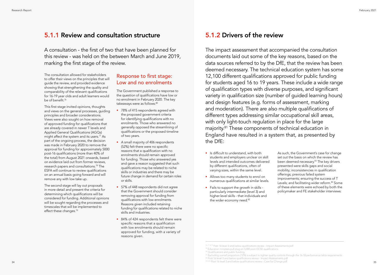## 5.1.1 Review and consultation structure

A consultation - the first of two that have been planned for this review - was held on the between March and June 2019, marking the first stage of the review.

The consultation allowed for stakeholders to offer their views on the principles that will guide the review, and provided evidence showing that strengthening the quality and comparability of the relevant qualifications for 16-19 year olds and adult learners would be of benefit.76

The second stage will lay out proposals in more detail and present the criteria for determining which qualifications will be considered for funding. Additional opinions will be sought regarding the processes and timescales that will be implemented to effect these changes.<sup>79</sup>

The Government published a response to the question of qualifications have low or no enrolment in February 2020. The key takeaways were as follows:<sup>80</sup>

This first stage invited opinions, thoughts and views on the general processes, guiding principles and broader considerations. Views were also sought on how removal of approved funding for qualifications that are already covered in newer T levels and Applied General Qualifications (AGQs) might affect the system and its users.<sup>77</sup> As part of the ongoing process, the decision was made in February 2020 to remove the approval for funding for approximately 5000 post-16 qualifications (more than 40% of the total) from August 2021 onwards, based on evidence laid out from former reviews, research papers and consultations.78 The ESFA will continue to review qualifications on an annual basis going forward and will remove any with low take up.

## Response to first stage: Low and no enrolments

- 78% of 415 respondents agreed with the proposed government criteria for identifying qualifications with no enrolments. Those who answered no generally opposed the streamlining of qualifications or the proposed timeline of two years.
- A small majority of 406 respondents (52%) felt there were no specific reasons that a qualification with no enrolments should remain approved for funding. Those who answered yes and gave a reason suggested that such qualifications may be related to niche skills or industries and there may be future change in demand for certain roles or skills.
- 57% of 448 respondents did not agree that the Government should consider removing approval for funding from qualifications with low enrolments. Reasons given included retaining funding for qualifications related to niche skills and industries.
- 84% of 424 respondents felt there were specific reasons that a qualification with low enrolments should remain approved for funding, with a variety of reasons given.

## 5.1.2 Drivers of the review

The impact assessment that accompanied the consultation documents laid out some of the key reasons, based on the data sources referred to by the DfE, that the review has been deemed necessary. The technical education system has some 12,100 different qualifications approved for public funding for students aged 16 to 19 years. These include a wide range of qualification types with diverse purposes, and significant variety in qualification size (number of guided learning hours) and design features (e.g. forms of assessment, marking and moderation). There are also multiple qualifications of different types addressing similar occupational skill areas, with only light-touch regulation in place for the large majority.81 These components of technical education in England have resulted in a system that, as presented by the DfE:

- Is difficult to understand, with both students and employers unclear on skill levels and intended outcomes delivered by different qualifications, often of varying sizes, within the same level.
- Allows too many students to enrol on numerous qualifications at similar levels.
- Fails to support the growth in skills particularly intermediate (level 3) and higher-level skills - that individuals and the wider economy need.<sup>82</sup>

As such, the Government's case for change set out the basis on which the review has been deemed necessary.<sup>83</sup> The key drivers presented were skills gaps and social mobility; inconsistencies in qualification offerings; previous failed system improvements; ensuring the success of T Levels; and facilitating wider reform.<sup>84</sup> Some of these elements were echoed by both the policymaker and FE stakeholder interviews:

<sup>76, 77 &</sup>amp; 79 Post 16 level 3 and below qualifications review - Impact Assessments.pdf <sup>78</sup> [Education ministers pull plug on 5,000 post-GCSE qualifications](http://Education ministers pull plug on 5,000 post-GCSE qualifications) <sup>80</sup> [Qualifications and public funding](https://www.gov.uk/government/collections/qualifications-approved-for-public-funding)

 $^{\text{33 A 8 A}}$  Post 16 level 3 and below qualifications review - Case for Change.pdf  $\,$  $81$  Excluding a small proportion (12%) is subject to tighter quality controls through the 16-18 performance table requirements 82 Post 16 level 3 and below qualifications review - Impact Assessments.pdf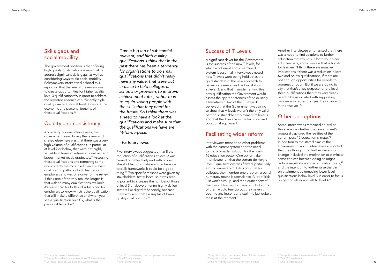The government position is that offering high quality qualifications is essential to address significant skills gaps, as well as considering ways to aid social mobility. Policymakers interviewed echoed this, reporting that the aim of the review was to create opportunities for higher quality level 3 qualifications96 in order to address the reported absence of sufficiently highquality qualifications at level 3, despite the economic and personal benefits of these qualifications.<sup>85</sup>

## Skills gaps and social mobility

## Quality and consistency

According to some interviewees, the government view driving the review and shared elsewhere was that there was a very high volume of qualifications, in particular at level 2 or below, that were not highly valuable in terms of returns of qualified and labour market ready graduates.<sup>86</sup> Assessing these qualifications and removing some would clarify the most useful and relevant qualification paths for both learners and employers and was one driver of the review: 'I think one of the very real challenges is that with so many qualifications available it's really hard for both individuals and for employers to know which is the qualification that will make a difference and when you see a qualification on a CV, what is that person able to do?'87

- 86 Four policymaker interviewees, three FE interviewees
- $^{87}$  Dr Fiona Aldridge, Learning and Work Institute  $^{90}$  Two FE interviewees  $^{93}$  Dr Fiona Aldridge, Learning and Work Institute  $^{93}$  Dr Fiona Aldridge, Learning and Work Institute  $^{96}$  One FE interviewee and  $^{$
- 
- 89 One FE interviewee
	- 90 Two FE interviewees

*'I am a big fan of substantial, relevant, and high quality qualifications. I think that in the past there has been a tendency for organisations to do small qualifications that didn't really have any value, that were put in place to help colleges or schools or providers to improve achievement rates, rather than to equip young people with the skills that they need for the future. So I think there was a need to have a look at the qualifications and make sure that the qualifications we have are fit-for-purpose.'*

## *- FE Interviewee*

Another interviewee emphasised that there was a need to find solutions to further education that would suit both young and adult learners, and a process that is holistic for learners: 'I think there are massive implications if there was a reduction in level two and below qualifications, if there are not enough opportunities for people to progress through. But if we are going to say that that's a key purpose for pre level three qualifications then they very clearly need to be associated with supporting progression rather than just being an end in themselves.<sup>'93</sup>

Five interviewees suggested that if the reduction of qualifications at level 2 was carried out effectively and with proper stakeholder consultation and adherence to skills frameworks it could be a good thing.<sup>88</sup> Two specific reasons were given by stakeholders: firstly, because it was seen important to increase the number of those at level 3 or above entering highly skilled sectors like digital.<sup>89</sup> Secondly, because there was seen to be a surplus of lower quality qualifications.90

88 Four FE interviewees, one policymaker interviewee

## Success of T Levels

- <sup>91</sup> One policymaker interviewee, three FE interviewees
- 92 One policymaker interviewee
- 93 Dr Fiona Aldridge, Learning and Work Institute
- 95 One FE interviewee 96 One FE interviewee

A significant driver for the Government is the success of the new T levels, for which a coherent and streamlined system is essential. Interviewees noted how T levels were being held up as the gold standard of the new approach to balancing general and technical skills at level 3, and that in implementing this new qualification the Government would assess the appropriateness of the existing alternatives.<sup>91</sup> Two of the FE experts believed that the Government was trying to show that A levels weren't the only valid path to sustainable employment at level 3, and that the T level was the technical and vocational equivalent.

## Facilitating wider reform

Interviewees mentioned other problems with the current system and the need to find a broader solution for the post-16 education sector. One policymaker interviewee felt that the current delivery of level 2 qualifications was flawed, particularly around numeracy:92 'I do know that for colleges, their number one problem around numeracy maths is attendance. A lot of kids just won't turn up, and then quite a few of them won't turn up for the exam, but some of them would turn up but they haven't been to any lessons and stuff. It's just quite a mess at the moment.'

## Other perceptions

Some interviewees remained neutral at this stage on whether the Government's proposal captured the realities of the current post-16 education climate.<sup>94</sup> In addition to the stated aims of the Government, two FE interviewees reported that they thought that further drivers for change included the motivation to eliminate some choices because doing so might reduce registration and examination costs,<sup>95</sup> and the intention to further raise the bar on attainment by removing lower level qualifications below level 3 in order to focus on getting all individuals to level 4.96

85 One policymaker interviewee

<sup>&</sup>lt;sup>94</sup> Two policymaker interviewees, one FE interviewee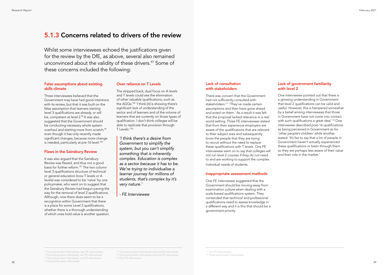- <sup>98</sup> One policymaker interviewee, two FE interviewees
- 99 One policymaker interviewee, one FE interviewee

<sup>100</sup> One policymaker interviewee

<sup>101</sup> One policymaker interviewee and one FE interviewee <sup>102</sup> One policymaker interviewee and one FE interviewee

Three interviewees believed that the Government may have had good intentions with its review, but that it was built on the false assumption that learners starting level 3 qualifications are already, or will be, competent at level 2.98 It was also suggested that the Government should be conducting necessary whole system overhaul and starting more from scratch,<sup>99</sup> even though it has only recently made significant changes, because more change is needed, particularly at pre-16 level.<sup>100</sup>

103 One FE interviewee

38 and the policymaker interviewee the control of the control of the control of the control of the control of the control of the control of the control of the control of the control of the control of the control of the con

## 5.1.3 Concerns related to drivers of the review

Whilst some interviewees echoed the justifications given for the review by the DfE, as above, several also remained unconvinced about the validity of these drivers.<sup>97</sup> Some of these concerns included the following:

## False assumptions about existing skills climate

## Flaws in the Sainsbury Review

117 Two FE interviewees <sup>118</sup> Three policymaker interviewees

It was also argued that the Sainsbury Review was flawed, and thus not a good basis for further reform.101 The two column level 3 qualifications structure of technical or general education (now T levels or A levels) was considered to be 'naïve' by one policymaker, who went on to suggest that the Sainsbury Review had begun paving the way for the removal of level 2 qualifications. Although, now there does seem to be a recognition within Government that there is a place for some Level 2 qualifications, whether there is a thorough understanding of which ones hold value is another question.

### Over reliance on T Levels

The stripped back, dual focus on A levels and T levels could see the elimination of other valuable qualifications, such as the AGQs:<sup>102</sup> 'I think [it] is showing there's significant lack of understanding of the sector and of learners and of the volume of learners that are currently on those types of qualification. I don't think colleges will be able to replicate that provision through T Levels.'103

*'I think there's a desire from Government to simplify the system, but you can't simplify something that is inherently complex. Education is complex as a sector because it has to be. We're trying to individualise a learner journey for millions of students, that's complex by it's very nature.'*

*- FE Interviewee*

## Lack of consultation with stakeholders

There was concern that the Government had not sufficiently consulted with stakeholders:117 'They've made certain assumptions and then have gone ahead and acted on them.' As a result it was felt that the proposal lacked relevance in a real world setting. Three FE interviewees stated that from their experience employers are aware of the qualifications that are relevant to their subject area and subsequently know the people that they are trying to recruit without the need to replace these qualifications with T levels. One FE interviewee went on to say that colleges will not run level 2 courses if they do not need to and are working to support the complex individual needs of students.

## Inappropriate assessment methods

One FE interviewee suggested that the Government should be moving away from examination culture when dealing with a scale-based qualifications system. They contended that technical and professional qualifications need to assess knowledge in a different way and it is this that should be a government priority.

# Lack of government familiarity

# with level 2

One interviewee pointed out that there is a growing understanding in Government that level 2 qualifications can be valid and useful. However, this is hampered somewhat by a belief among interviewees that those in Government have not come into contact with such qualifications a great deal.<sup>118</sup> One interviewee described post-16 qualifications as being perceived in Government as for 'other people's children' while another stated: 'It's fair to say that a lot of people in Government haven't actually experienced these qualifications or been through them so they are perhaps less aware of their value and their role in the market.'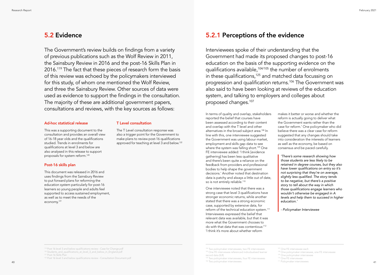## 5.2 Evidence

The Government's review builds on findings from a variety of previous publications such as the Wolf Review in 2011, the Sainsbury Review in 2016 and the post-16 Skills Plan in 2016.<sup>119</sup> The fact that these pieces of research form the basis of this review was echoed by the policymakers interviewed for this study, of whom one mentioned the Wolf Review, and three the Sainsbury Review. Other sources of data were used as evidence to support the findings in the consultation. The majority of these are additional government papers, consultations and reviews, with the key sources as follows:

### Ad-hoc statistical release

- 120 Students\_and\_qualifications\_at\_level\_3\_and\_below\_in\_England.pdf
- $121$  [Post-16 Skills Plan](https://assets.publishing.service.gov.uk/government/uploads/system/uploads/attachment_data/file/536043/Post-16_Skills_Plan.pdf)

<sup>122</sup> Post 16 level 3 and below qualifications review - Consultation Document.pdf

This was a supporting document to the consultation and provides an overall view of 16-18 year olds and the qualifications studied. Trends in enrolments for qualifications at level 3 and below are also analysed in this release to support proposals for system reform.120

### Post-16 skills plan

In terms of quality and overlap, stakeholders reported the belief that courses have been assessed according to their content and overlap with the T level and other alternatives in the broad subject area.108 In line with this, one interviewee suggested the Government was using labour market, employment and skills gap data to see where the system was falling short.<sup>109</sup> One FE interviewee added: 'I think [evidence gathering] has been less qualitative and there's been quite a reliance on the feedback from providers and professional bodies to help shape the government decisions.' Another noted that destination data is patchy and always a little out of date, so is not entirely reliable.<sup>110</sup>

This document was released in 2016 and uses findings from the Sainsbury Review to put forward plans for reforming the education system particularly for post-16 learners so young people and adults feel supported to access sustained employment, as well as to meet the needs of the economy.121

### T Level consultation

The T Level consultation response was also a trigger point for the Government to make plans to review post-16 qualifications approved for teaching at level 3 and below.122

## 5.2.1 Perceptions of the evidence

Interviewees spoke of their understanding that the Government had made its proposed changes to post-16 education on the basis of the supporting evidence on the qualifications available,104/105 the number of enrolments in these qualifications,<sup>125</sup> and matched data focussing on progression and qualification returns.106 The Government was also said to have been looking at reviews of the education system, and talking to employers and colleges about proposed changes.107

<sup>104</sup> Two policymaker interviewees, two FE interviewees 105 One FE interviewee referenced individualised learner record data (ILR)

<sup>125</sup> Two policymaker interviewees, four FE interviewees 106 Two policymaker interviewees

One interviewee noted that there was a strong case that level 3 qualifications have stronger economic returns, while another stated that there was a strong economic case, supported by extensive data, for reform of the technical education system.<sup>111</sup> Interviewees expressed the belief that relevant data was available, but that it was more what the Government chooses to do with that data that was contentious:112 'I think it's more about whether reform

makes it better or worse and whether the reform is actually going to deliver what the Government wants rather than the case for reform.' One policymaker who did believe there was a clear case for reform suggested that any changes should take into consideration the interests of learners as well as the economy, be based on consensus and be paced carefully.

*'There's some research showing how those students are less likely to be retained in degree courses, but they also have lower qualifications on entry so it's not surprising that they're on average, slightly less qualified. The story tends to be negative, but there's a positive story to tell about the way in which those qualifications engage learners who wouldn't otherwise be engaged in A levels and help them to succeed in higher* 

*education.'*

```
<sup>119</sup> Post 16 level 3 and below qualifications review - Case for Change.pdf
```
## *- Policymaker Interviewee*

107 One FE interviewee each

<sup>108</sup> One policymaker interviewee, one FE interviewee

<sup>109</sup> One policymaker interviewee

110 One FE interviewee

 $40$  and the construction of the construction of the construction of the construction of  $41$  and  $41$  and  $41$  and  $41$  and  $41$  and  $41$  and  $41$  and  $41$  and  $41$  and  $41$  and  $41$  and  $41$  and  $41$  and  $41$  and  $41$  a <sup>111</sup> Policymaker interviewees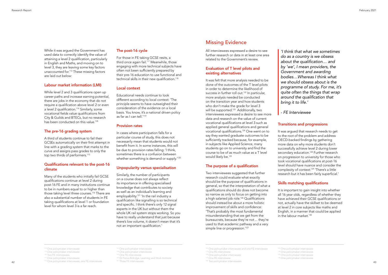While level 2 and 3 qualifications open up career paths and increase earning potential, there are jobs in the economy that do not require a qualification above level 2 or even a level 2 qualification.<sup>114</sup> Similarly, some vocational fields value qualifications from City & Guilds and BTECs, but no research has been conducted on this value.<sup>135</sup>

## The pre-16 grading system

While it was argued the Government has used data to correctly identify the value of attaining a level 2 qualification, particularly in English and Maths, and moving on to level 3, they are leaving some key factors unaccounted for.113 These missing factors are laid out below:

### Labour market information (LMI)

For those in FE taking GCSE resits, a third once again fail.<sup>117</sup> Meanwhile, those engaging with more technical subjects have often not been sufficiently prepared by their pre-16 education to use functional and technical skills in their new qualification.<sup>118</sup>

A third of students continue to fail their GCSEs automatically on their first attempt in line with a grading system that marks to the curve and assigns pass grades to only the top two thirds of performers.115

In cases where participation falls for a particular course of study, this does not necessarily mean that students would not benefit from it. In some instances, this will be due to provision rates falling: 'I think, sometimes there is a confusion between whether something is demand or supply.<sup>'120</sup>

## Qualifications relevant to the post-16 climate

Many of the students who initially fail GCSE qualifications continue at level 2 during post-16 FE and in many institutions continue to be in numbers equal to or higher than those taking level three courses.116 There are also a substantial number of students in FE taking qualifications at level 1 or foundation level for whom level 3 is a far reach.

## The post-16 cycle

- 113 One policymaker interviewee
- 114 One policymaker interviewee
- <sup>135</sup> Two FE interviewees
- <sup>115</sup> One policymaker interviewee
- 42 43 <sup>116</sup> One policymaker interviewee, one FE interviewee
- 117 One policymaker interviewee
- 118 One policymaker interviewee
- 119 One FE interviewee
- <sup>120</sup> Dr Fiona Aldridge, Learning and Work Institute
- <sup>121</sup> Three FE interviewees

### Local context

Educational needs continue to look different according to local context: 'The principle seems to have outweighed their consideration of the evidence on a local basis. You know, it's a national driven policy as far as I can tell.'119

## Provision rates

Two interviewees suggested that further research could evaluate what exactly should be the purpose of qualifications in general, so that the interpretation of what a qualifications should do does not become so narrow as only to focus on getting into a high salaried job role.<sup>126</sup> Qualifications should instead be about a more holistic improvement of skills and confidence: 'That's probably the most fundamental misunderstanding that we get from the bureaucrats, because they're not ... they're used to that academic pathway and a very simple line or progression.'<sup>127</sup>

### Unpopularity versus specialisation

Similarly, the number of participants on a course does not always reflect its importance in offering specialised knowledge that contributes to society as well as an individual's learning and employability:<sup>121</sup> 'In the rail industry a qualification like signalling is so technical and specific. I think there's only 12 signal experts in the UK but without them the whole UK rail system stops working. So you have to really understand that just because there's low volume, it doesn't mean that it's not an important qualification.'

- <sup>122</sup> One policymaker interviewee and one FE interviewee
- 123 One FE interviewee
- 124 One policymaker interviewee
- 125 One FE interviewee 126 Two policymaker interviewees

127 One policymaker interviewee 128 One policymaker interviewee <sup>129</sup> One policymaker interviewee <sup>130</sup> One policymaker interviewee

- 
- 

## Missing Evidence

All interviewees expressed a desire to see further research or data in at least one area related to the Government's review.

## Evaluation of T level pilots and existing alternatives

It was felt that more analysis needed to be done of the outcomes of the T level pilots in order to determine the likelihood of success in further roll out.<sup>122</sup> In particular, more analysis needed be conducted on the transition year and how students who don't make the grade for level 3 will be supported.<sup>123</sup> Additionally, two interviewees expressed a desire to see more data and research on the value of current vocational qualifications at level 3 such as applied general qualifications and general vocational qualifications.124 One went on to say they wanted graduate outcomes to be sufficiently tracked because, for example, in subjects like Applied Science, many students go on to university and find the course to be of as much value as a T level would likely be.125

## The purpose of a qualification

*'I think that what we sometimes do as a country is we obsess about the qualification… and by 'we', I mean providers, the Government and awarding bodies…Whereas I think what we should obsess about is the programme of study. For me, it's quite often the things that wrap around the qualification that bring it to life.'*

## *- FE Interviewee*

## Transitions and progressions

It was argued that research needs to get to the root of the problem and address OECD-backed findings by gathering more data on why more students don't successfully achieve level 2 during lower secondary education.<sup>128</sup> Further research on progression to university for those who took vocational qualifications at post-16 level should have nuance and consider the complexity of context:129 'There's a little research but it has been fairly superficial.'

## Skills matching qualifications

It is important to gain insight into whether all 16 year olds, regardless of whether they have achieved their GCSE qualifications or not, actually have the skillset to be deemed at level 2 in core subjects like maths and English, in a manner that could be applied in the labour market.130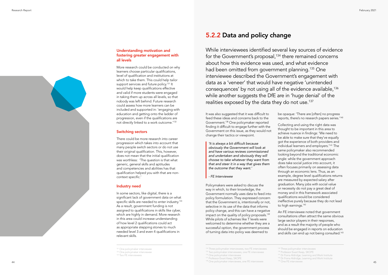

## Understanding motivation and fostering greater engagement with all levels

More research could be conducted on why learners choose particular qualifications, level of qualification and institutions at which to take them. This could help tailor support services and future policy.<sup>131</sup> It would help keep qualifications effective and valid if more students were engaged in taking them up across all levels, so that nobody was left behind. Future research could assess how more learners can be included and supported in: 'engaging with education and getting onto the ladder of progression, even if the qualifications are not directly linked to a work outcome.'132

## Switching sectors

There could be more research into career progression which takes into account that many people switch sectors or do not use their original qualification. This, however, does not mean that the initial qualification was worthless: 'The question is that what generic, general skills and aptitudes and competencies and abilities has that qualification helped you with that are noncontext specific.'

<sup>34</sup> Three policymaker interviewees, two FE interviewees <sup>135</sup> Two policymaker interviewees, one FE interviewee

136 One policymaker interviewee 137 Professor Ewart Keep, SKOPE

141 Dr Fiona Aldridge, Learning and Work Institute <sup>142</sup> Dr Fiona Aldridge, Learning and Work Institute

While interviewees identified several key sources of evidence for the Government's proposal,<sup>134</sup> there remained concerns about how this evidence was used, and what evidence had been omitted from government planning.<sup>135</sup> One interviewee described the Government's engagement with data as a 'veneer' that would have negative 'unintended consequences' by not using all of the evidence available,136 while another suggests the DfE are in 'huge denial' of the realities exposed by the data they do not use.<sup>137</sup>

## Industry need

In some sectors, like digital, there is a significant lack of government data on what specific skills are needed to enter industry.<sup>133</sup> As a result, government funding is not assigned to qualifications in skills like cyber, which are highly in demand. More research in this area could increase understanding of how level 2 qualifications could act as appropriate stepping stones to much needed level 3 and even 4 qualifications in relevant skills.

132 One policymaker interviewee

## 5.2.2 Data and policy change

It was also suggested that it was difficult to feed these ideas and concerns back to the Government.138 One policymaker reported finding it difficult to engage further with the Government on this issue, as they would not change their tactics or viewpoint.

*'It is always a bit difficult because obviously the Government will look at and have various reviews commissioned and undertaken and obviously they will choose to take whatever they want from that and steer it in a way that gives them the outcome that they want.'*

*- FE Interviewee*

Policymakers were asked to discuss the way in which, to their knowledge, the Government normally uses data to feed into policy formulation. They expressed concern that the Government is, intentionally or not, selective in its use of the data that informs policy change, and this can have a negative impact on the quality of policy proposals.<sup>139</sup> While pilots of schemes like T levels were welcomed to determine whether they are a successful option, the government process of turning data into policy was deemed to

to high earnings.<sup>142</sup> An FE interviewee noted that government consultations often attract the same obvious large sector players in their responses, and as a result the majority of people who should be engaged in reports on education and skills can end up not being consulted.<sup>143</sup>

be opaque: 'There are [often] no progress reports, there's no research papers series.'140

Collecting and using the right data was thought to be important in this area to achieve nuance in findings: 'We need to be able to make sure that they've equally got the experience of both providers and individual learners and employers.'141 The same policymaker also recommended looking beyond the traditional economic angle: while the government approach does take social justice into account, it often focuses primarily on assessing data through an economic lens. Thus, as an example, degree level qualifications returns are measured by expected salary after graduation. Many jobs with social value or necessity do not pay a great deal of money and in this framework associated qualifications would be considered ineffective purely because they do not lead

<sup>139</sup> Three policymaker interviewees

<sup>&</sup>lt;sup>131</sup> One policymaker interviewee

<sup>133</sup> Two FE interviewees

<sup>140</sup> Professor Ewart Keep, SKOPE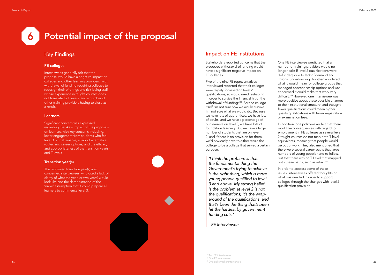## Key Findings

### FE colleges

Interviewees generally felt that the proposal would have a negative impact on colleges and other learning providers, with withdrawal of funding requiring colleges to redesign their offerings and risk losing staff whose experience in taught courses does not translate to T levels, and a number of other training providers having to close as a result.

### Learners

<span id="page-23-0"></span>

Significant concern was expressed regarding the likely impact of the proposals on learners, with key concerns including: lower engagement from students who feel level 3 is unattainable; a lack of alternative routes and career options; and the efficacy and appropriateness of the transition year(s) and T levels.

### Transition year(s)

The proposed transition year(s) also concerned interviewees, who cited a lack of clarity of what the year (or two years) would look like and the demonstration of the 'naive' assumption that it could prepare all learners to commence level 3.



## Impact on FE institutions

Stakeholders reported concerns that the proposed withdrawal of funding would have a significant negative impact on FE colleges.

Five of the nine FE representatives interviewed reported that their colleges were largely focussed on level 2 qualifications, so would need reshaping in order to survive the financial hit of the withdrawal of funding:<sup>144</sup> 'For the college itself I'm not sure how we would survive. I'm not sure what we would do. Because we have lots of apprentices, we have lots of adults, and we have a percentage of our learners on level 3, we have lots of foundation learning. But we have a large number of students that are on level 2, and if there is no provision for them, we'd obviously have to either resize the college to be a college that served a certain purpose.'

*'I think the problem is that the fundamental thing the Government's trying to achieve is the right thing, which is more young people qualified to level 3 and above. My strong belief is the problem at level 2 is not the qualifications; it's the wraparound of the qualifications, and that's been the thing that's been hit the hardest by government funding cuts.'*

*- FE Interviewee*

One FE interviewee predicted that a number of training providers would no longer exist if level 2 qualifications were defunded, due to lack of demand and chronic underfunding. Another wondered what it would mean for college groups that managed apprenticeship options and was concerned it could make that work very difficult.145 However, one interviewee was more positive about these possible changes to their institutional structure, and thought fewer qualifications could mean higher quality qualifications with fewer registration or examination fees.

In addition, one policymaker felt that there would be consequences with regard to employment in FE colleges as several level 2 taught courses do not map onto T level equivalents, meaning that people would be out of work. They also mentioned that there were several career paths that large numbers of young people tend to follow, but that there was no T Level that mapped onto these paths, such as retail.146

In order to address some of these issues, interviewees offered thoughts on what was needed in order to support colleges through the changes with level 2 qualification provision.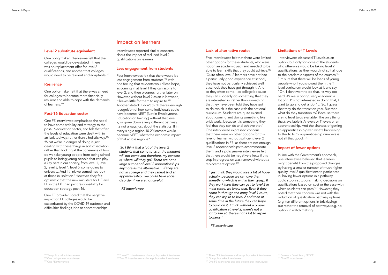One policymaker interviewee felt that the colleges would be devastated if there was no replacement offer for level 2 qualifications, and another that colleges would need to be resilient and adaptable.<sup>147</sup>

## Level 2 substitute equivalent

## Resilience

One policymaker felt that there was a need for colleges to become more financially resilient and able to cope with the demands of learners.148

## Post-16 Education sector

One FE interviewee emphasised the need to have some stability and strategy to the post-16 education sector, and felt that often the levels of education were dealt with in an isolated way, rather than a holistic wav:<sup>149</sup> 'What we're in danger of doing is just dealing with these things in sort of isolation, rather than looking at the coherence of how do we take young people from being school pupils to being young people that can play a key part in our society, from level 1, level 2, level 3, level 4, level 5, some going to university. And I think we sometimes look at those in isolation.' However, they felt optimistic that the new ministers for HE and FE in the DfE had joint responsibility for education strategy post-16.

One FE provider noted that the negative impact on FE colleges would be exacerbated by the COVID-19 outbreak and difficulties findings jobs or apprenticeships.

149 One FE interviewee

## Impact on learners

Interviewees reported similar concerns about the impact of reduced level 2 qualifications on learners:

### Less engagement from students

Four interviewees felt that there would be less engagement from students,150 with one feeling that students would lose hope, as coming in at level 1 they can aspire to level 2, and then progress further later on. However, without level 2 as an in between, it leaves little for them to aspire to.<sup>151</sup> Another stated: 'I don't think there's enough recognition of how some individuals could have become NEET [Not in Employment, Education or Training] without that level 2, or gone down a very different pathway. It's not always just about the statistics. If in every single region 10-20 learners would become NEET, what's the economic impact of that across regions?'

*'So I think that a lot of the level 2 students that come to us at the moment will not come and therefore, my concern is, where will they go? There are not a large number of level 2 apprenticeships anymore as the alternative….If they are not in college and they cannot find an apprenticeship...we could have social disorder if we are not careful.'*

*- FE Interviewee*

## Lack of alternative routes

Five interviewees felt that there were limited other options for these students, who were not on an academic path and needed to be able to learn skills that they could achieve:152 'Quite often level-2 learners have not had a particularly good experience at school, they have not particularly achieved well at school, they have got through it. And so they often come…to college because they can suddenly do something that they are interested in, rather than something that they have been told they have got to do, which is the case with the national curriculum. Students are quite excited about coming and doing something like brick work...because it is something they feel that they can do and achieve that.' One interviewee expressed concern that there were no other options for this level of learner without sufficient level 2 qualifications in FE, as there are not enough level 2 apprenticeships to accommodate them, and a policymaker interviewee felt that there would be negative effects if this step in progression was removed without a replacement option.153

*'I just think they would lose a bit of hope actually, because we can give them something which is within their grasp. If they work hard they can get to level 2 in most cases, we know that. Even if they come in through the entry level 1 route, they can aspire to level 2 and then at some time in the future they can hope to build on it. I think without a proper qualification at level 2, there's not a lot to aim at, there's not a lot to aspire towards.'*

*- FE Interviewee*

## Limitations of T Levels

 Interviewees discussed T Levels as an option, but only for some of the students who otherwise would be taking level 2 qualifications, as they would not suit all due to the academic aspects of the courses:<sup>154</sup> 'I'm sure that there will be loads of young people who if you showed them the T level curriculum would look at it and say "Oh, I don't want to do that, it's way too hard, it's really boring, very academic a lot of it. I'm not interested in doing that, I want to go and get a job." …So, I guess that they do the transition year. But then what do they transition to? Because there are no level twos available. The only thing that's available is A levels or T levels or an apprenticeship. And the chances of getting an apprenticeship given what's happening to the 16 to 19 apprenticeship numbers is not all that good.'176

## Impact of fewer options

In line with the Government's approach, one interviewee believed that learners might benefit from the proposed changes by having a smaller number of much higher quality level 2 qualifications to participate in; having fewer options in a pathway could stop institutions making decisions on qualifications based on cost or the ease with which students can pass.<sup>177</sup> However, they noted that their concern was not with the reduction of qualification pathway options (e.g. ten different options in bricklaying) but rather the removal of pathways (e.g. no option in watch making).

<sup>&</sup>lt;sup>147</sup> Two policymaker interviewees 148 One policymaker interviewee

<sup>&</sup>lt;sup>152</sup> Three FE interviewees and two policymaker interviewees 153 One policymaker interviewee

 $^{149}$  One FE interviewee  $^{154}$  One FE interviewee and one policymaker interviewee and one policymaker interviewee  $^{149}$  One FE interviewee  $^{149}$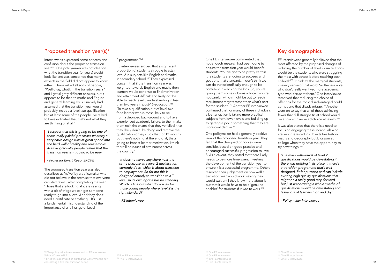## Proposed transition year(s)\*

Interviewees expressed some concern and confusion about the proposed transition year.155 One policymaker was not clear on what the transition year (or years) would look like and was concerned that many experts in the field did not appear to know either: 'I have asked all sorts of people, "Well okay, what's in the transition year?" and I get slightly different answers, but it appears to be that it's maths and English and general learning skills. I naively had assumed that the transition year would probably include a level two qualification but at least some of the people I've talked to have indicated that that's not what they are thinking of at all.'

*'I suspect that this is going to be one of those really painful processes whereby a very naïve design runs at great speed into the hard wall of reality and reassembles itself as gradually people realise that the transition year isn't going to be easy.'*

### *- Professor Ewart Keep, SKOPE*

The proposed transition year was also described as 'naïve' by a policymaker who did not believe in the premise that everyone can start level 3 after completing the year: 'Those that are looking at it are saying, with a bit of triage we can get someone ready to go into a level 3 and they don't need a certificate or anything…It's just a fundamental misunderstanding of the importance of a full range of Level

156 Mark Dawe, AELP \* Since this paper was first drafted the Government is now

50 51 considering a two year transition period

### 2 programmes.'156

<sup>157</sup> Four FE interviewees 158 Two FE interviewees

not enough research had been done to ensure the transition year would benefit students: 'You've got to be pretty certain [the students are] going to succeed and get up to that standard…I don't think we can do that scientifically enough to be confident in advising the kids. So, you're giving them some dubious advice if you're not careful, which might be out to reach recruitment targets rather than what's best for the student.'159 Another FE interviewee continued that for many of these individuals a better option is taking more practical subjects from lower levels and building up to getting a job in something that they are more confident in.<sup>160</sup>

One policymaker had a generally positive view of the proposed transition year. They felt that the designed principles were sensible, based on good practice and encouraged successful progression to level 3. As a caveat, they noted that there likely needs to be more time spent investing the development of the transition year to ensure it is a successful programme. Others reserved their judgement on how well a transition year would work, saying they would wait until they knew more about it but that it would have to be a 'genuine enabler' for students if it was to work.<sup>161</sup>

FE interviewees argued that a significant proportion of students struggle to attain level 2 in subjects like English and maths in secondary school.<sup>157</sup> They expressed concern that if the transition year was weighted towards English and maths then learners would continue to find motivation and attainment difficult and likely not be able to reach level 3 understanding in less than two years in post-16 education:<sup>158</sup> 'To take a qualification out of level two for a learner who is most likely to be from a deprived background and to have experienced academic failure; to then make them resit the exams that they've failed, that they likely don't like doing and remove the qualification or say study that for 12 months but there's nothing at the end of it; that's going to impact learner motivation. I think there'll be issues of attainment across the country.'

FE interviewees generally believed that the most affected by the proposed changes of reducing the number of level 2 qualifications would be the students who were struggling the most with school before reaching post-16 level:185 'I think it's the marginal students, in every sense of that word. So the less able who don't really want yet more academic type work thrust at them.' One interviewee remarked that reducing the choice of offerings for the most disadvantaged could compound that disadvantage.<sup>162</sup> Another went on to say that all of those achieving fewer than full straight As at school would be at risk with reduced choice at level 2.<sup>163</sup>

It was also stated that there is a need to focus on engaging these individuals who are less interested in subjects like history, maths and geography but blossom at college when they have the opportunity to try new things.<sup>164</sup>

*'It does not serve anywhere near the same purpose as a level 2 qualification currently does, which is about transition to employment. So for me this is designed entirely to transition to a T level. In its own right it has no standing. Which is fine but what do you do for those young people where level 2 is the right standard?'*

*- FE Interviewee*

159 One FE interviewee. 160 One FE interviewee. <sup>161</sup> Two FE interviewees 185 Five FE interviewees

One FE interviewee commented that

## Key demographics

*'The mass withdrawal of level 2 qualifications would be devastating if there was nothing in its place. If there's a transition programme that's well designed, fit for purpose and can include existing high quality qualifications that might be a really good step forward but just withdrawing a whole swathe of qualifications would be devastating and leave lots of learners high and dry.'*

*- Policymaker Interviewee*

<sup>&</sup>lt;sup>155</sup> Two policymaker interviewees and six FE interviewees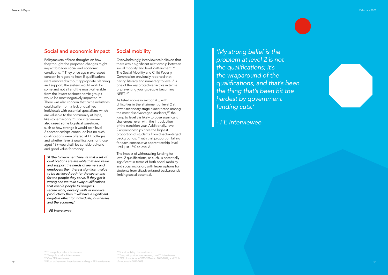## Social and economic impact

Policymakers offered thoughts on how they thought the proposed changes might impact broader social and economic conditions.165 They once again expressed concern in regard to how, if qualifications were removed without appropriate planning and support, the system would work for some and not all and the most vulnerable from the lowest socioeconomic groups would be most negatively impacted.<sup>166</sup> There was also concern that niche industries could suffer from a lack of qualified individuals with essential specialisms which are valuable to the community at large, like stonemasonry.<sup>167</sup> One interviewee also raised some logistical questions, such as how strange it would be if level 2 apprenticeships continued but no such qualifications were offered at FE colleges and whether level 2 qualifications for those aged 19+ would still be considered valid and good value for money.

*'If [the Government] ensure that a set of qualifications are available that add value and support the needs of learners and employers then there is significant value to be achieved both for the sector and for the people they serve. If they get it wrong and we take away qualifications that enable people to progress, secure work, develop skills or improve productivity then it will have a significant negative effect for individuals, businesses and the economy.'*

> <sup>170</sup> Two policymaker interviewees, one FE interviewee 171 29% of students in 2015-2016 and 2016-2017; and 26 %

*- FE Interviewee*

## Social mobility

Overwhelmingly, interviewees believed that there was a significant relationship between social mobility and level 2 attainment.<sup>168</sup> The Social Mobility and Child Poverty Commission previously reported that having literacy and numeracy to level 2 is one of the key protective factors in terms of preventing young people becoming NEET.169

As listed above in section 4.3, with difficulties in the attainment of level 2 at lower secondary stage exacerbated among the most disadvantaged students,170 the jump to level 3 is likely to pose significant challenges, even with the introduction of the transition year. Additionally, level 2 apprenticeships have the highest proportion of students from disadvantaged backgrounds,171 with that proportion falling for each consecutive apprenticeship level until just 13% at level 6.

The impact of withdrawing funding for level 2 qualifications, as such, is potentially significant in terms of both social mobility and social inclusion, with fewer options for students from disadvantaged backgrounds limiting social potential.

169 [Social mobility: the next steps](https://assets.publishing.service.gov.uk/government/uploads/system/uploads/attachment_data/file/238789/Social_mobility_the_next_steps.pdf)

- 167 One FE interviewee
- 52 53 168 Four policymaker interviewees and eight FE interviewees of students in 2017-2018



*'My strong belief is the problem at level 2 is not the qualifications; it's the wraparound of the qualifications, and that's been the thing that's been hit the hardest by government funding cuts.'*

*- FE Interviewee*

<sup>&</sup>lt;sup>165</sup> Three policymaker interviewees

<sup>&</sup>lt;sup>166</sup> Two policymaker interviewees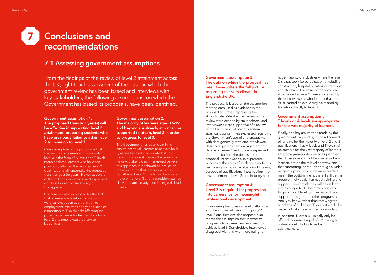## 7.1 Assessing government assumptions

From the findings of the review of level 2 attainment across the UK, light touch assessment of the data on which the government review has been based and interviews with key stakeholders, the following assumptions, on which the Government has based its proposals, have been identified.

Government assumption 1: The proposed transition year(s) will be effective in supporting level 2 attainment, preparing students who have previously failed to attain level 2 to move on to level 3.

One assumption of the proposal is that the majority of learners will move onto level 3 in the form of A levels and T levels, meaning those learners who have not previously attained the required level 2 qualifications will undertake the proposed transition year (or years). However, several of the stakeholders interviewed expressed significant doubt at the efficacy of this approach.

## <span id="page-27-0"></span>Conclusions and recommendations 7

Concern was also expressed for the fact that where some level 2 qualifications were currently seen as a transition to employment, the transition year is seen as a transition to T levels only, affecting the potential pathways for learners for whom level 2 attainment would otherwise be sufficient.

## Government assumption 2: The majority of learners aged 16-19 and beyond are already at, or can be supported to attain, level 2 in order to progress to level 3.

The Government has been clear in its aspirations for all learners to achieve level 3, as has the evidence on which it has based its proposal, namely the Sainsbury Review. Stakeholders interviewed believe this approach to be flawed as it relies on the assumption that learners who have not attained level 2 thus far will be able to move on to level 3 after a transition year (as above), or are already functioning with level 2 skills.

Government assumption 3: The data on which the proposal has been based offers the full picture regarding the skills climate in England/the UK.

The proposal is based on the assumption that the data used as evidence in the proposal accurately represents the skills climate. Whilst some drivers of the review were echoed by stakeholders, and interviewees were supportive of a review of the technical qualifications system, significant concern was expressed regarding the Government's use of and engagement with data generally, with one interviewee describing government engagement with data as a 'veneer', and concern expressed about the basis of the details of the proposal. Interviewees also expressed concern at the areas of evidence they felt to be missing, including: evaluation of T levels; purpose of qualifications; investigation into low attainment of level 2; and industry need.

## Government assumption 4: Level 3 is required for progression into careers, or for meaningful professional development.

Considering the focus on level 3 attainment and the implied elimination of post-16 level 2 qualifications, the proposal also makes the assumption that in order to progress into a career, learners need to achieve level 3. Stakeholders interviewed disagreed with this, with there being 'a

huge majority of industries where the level 2 is a passport [to participation]', including construction, hospitality, catering, transport and childcare. The value of the technical skills gained at level 2 were also raised by three interviewees, who felt that that the skills learned at level 2 may be missed by transition directly to level 3.

## Government assumption 5: T levels or A levels are appropriate for the vast majority of learners.

Finally, one key assumption made by the government proposal is, in the withdrawal of funding for the majority of level 2 and 3 qualifications, that A levels and T levels will be suitable for the vast majority of learners. One policymaker interviewed highlighted that T Levels would not be a suitable for all learners not on the A level pathway, and that supporting individuals through a wider range of options would be more practical: 'I mean, the bottom line is, there'll still be this group of individuals that need training and support; I don't think they will be walking into a college to do their transition year to go onto a T level. So they will still need support through some other programme. And, you know, rather than throwing the hundreds of millions at T levels, it would be better off if it spread a little more widely.'172

In addition, T levels will initially only be offered to learners aged 16-19, risking a potential deficit of options for

adult learners.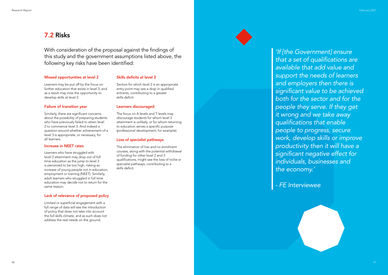## 7.2 Risks

With consideration of the proposal against the findings of this study and the government assumptions listed above, the following key risks have been identified:

### Missed opportunities at level 2

Learners may be put off by the focus on further education that exists in level 3, and as a result may miss the opportunity to develop skills at level 2.

## Failure of transition year

Similarly, there are significant concerns about the possibility of preparing students who have previously failed to attain level 2 to commence level 3. And indeed a question around whether achievement of a level 3 is appropriate, or necessary, for all learners.

## Increase in NEET rates

Learners who have struggled with level 2 attainment may drop out of full time education as the jump to level 3 is perceived to be too high, risking an increase of young people not in education, employment or training (NEET). Similarly, adult learners who struggled in full time education may decide not to return for the same reason.

## Lack of relevance of proposed policy

Limited or superficial engagement with a full range of data will see the introduction of policy that does not take into account the full skills climate, and as such does not address the real needs on the ground.

## Skills deficits at level 2

Sectors for which level 2 is an appropriate entry point may see a drop in qualified entrants, contributing to a greater skills deficit.

## Learners discouraged

The focus on A levels and T levels may discourage students for whom level 3 attainment is unlikely, or for whom returning to education serves a specific purpose (professional development, for example).

## Loss of specialist pathways

The elimination of low and no enrolment courses, along with the potential withdrawal of funding for other level 2 and 3 qualifications, might see the loss of niche or specialist pathways, contributing to a skills deficit.

*'If [the Government] ensure that a set of qualifications are available that add value and support the needs of learners and employers then there is significant value to be achieved both for the sector and for the people they serve. If they get it wrong and we take away qualifications that enable people to progress, secure work, develop skills or improve productivity then it will have a significant negative effect for individuals, businesses and the economy.'*

*- FE Interviewee*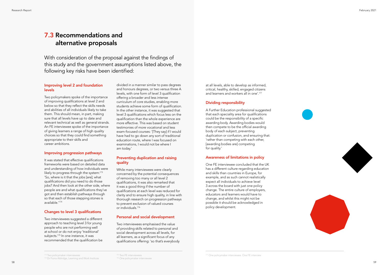

## 7.3 Recommendations and alternative proposals

With consideration of the proposal against the findings of this study and the government assumptions listed above, the following key risks have been identified:

## Improving level 2 and foundation levels

Two policymakers spoke of the importance of improving qualifications at level 2 and below so that they reflect the skills needs and abilities of all individuals likely to take them. This should mean, in part, making sure that all levels have up to date and relevant technical as well as general strands. An FE interviewee spoke of the importance of giving learners a range of high quality choices so that they could find something appropriate to their skills and career ambitions.

### Improving progression pathways

It was stated that effective qualifications frameworks were based on detailed data and understanding of how individuals were likely to progress through the system:<sup>173</sup> 'So, where is it that the jobs [are]; what qualifications did you need to do those jobs? And then look at the other side, where people are and what qualifications they've got and then establish pathways through so that each of those stepping stones is available.'174

## Changes to level 3 qualifications

Two interviewees suggested a different approach to teaching level 3 for young people who are not performing well at school or do not enjoy 'traditional' subjects.<sup>175</sup> In one instance, it was recommended that the qualification be

divided in a manner similar to pass degrees and honours degrees, or two versus three A levels, with one form of level 3 qualification offering a broader and less intense curriculum of core studies, enabling more students achieve some form of qualification. In the other instance, it was suggested that level 3 qualifications which focus less on the qualification than the whole experience are more effective. This was based on student testimonies of more vocational and less exam-focused courses: '[They say] if I would have had to go down any sort of traditional education route, where I was focused on examinations, I would not be where I am today.'

## Preventing duplication and raising quality

While many interviewees were clearly concerned by the potential consequences of removing too many or all level 2 qualifications, it was also remarked that it was a good thing if the number of qualifications at each level was reduced for clarity and to ensure high quality, in line with thorough research on progression pathways to prevent exclusion of valued courses or individuals.176

## Personal and social development

Two interviewees emphasised the value of providing skills related to personal and social development across all levels, for all learners, as a significant focus of any qualifications offering: 'so that's everybody at all levels, able to develop as informed, critical, healthy, skilled, engaged citizens and learners and workers all in one'.177

## Dividing responsibility

A Further Education professional suggested that each speciality area for qualifications could be the responsibility of a specific awarding body. Awarding bodies would then compete to be the official awarding body of each subject, preventing duplication or confusion, and ensuring that: 'rather than competing with each other, [awarding bodies are] competing for quality.'

## Awareness of limitations in policy

One FE interviewee concluded that the UK has a different culture regarding education and skills than countries in Europe, for example, and as such cannot realistically expect all individuals to achieve level 3 across the board with just one policy change. The entire culture of employers, educators and learners would have to change, and whilst this might not be possible it should be acknowledged in policy development.

<sup>173</sup> Two policymaker interviewees

<sup>174</sup> Dr Fiona Aldridge, Learning and Work Institute

<sup>175</sup> Two FE interviewees

<sup>176</sup> One policymaker interviewee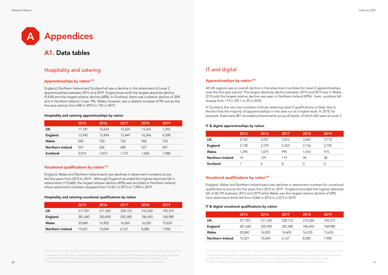## A1. Data tables

## Hospitality and catering

## Apprenticeships by nation<sup>178</sup>

England, Northern Ireland and Scotland all saw a decline in the attainment of Level 2 apprenticeships between 2015 and 2019. England saw both the largest absolute decline (9,434) and the largest relative decline (68%). In Scotland, there was a relative decline of 26% and in Northern Ireland, it was -9%. Wales, however, saw a relative increase of 9% across the five year period, from 690 in 2015 to 755 in 2019.

### Hospitality and catering apprenticeships by nation

<span id="page-30-0"></span>

|                  | 2015   | 2016   | 2017   | 2018   | 2019  |
|------------------|--------|--------|--------|--------|-------|
| UK               | 17,187 | 16,643 | 15,624 | 13,363 | 7,242 |
| England          | 13,942 | 13,494 | 12,449 | 10,246 | 4,508 |
| <b>Wales</b>     | 690    | 750    | 750    | 985    | 755   |
| Northern Ireland | 541    | 526    | 698    | 527    | 491   |
| Scotland         | 2,014  | 1,873  | 1,727  | 1,605  | 1,488 |

## Vocational qualifications by nation<sup>179</sup>

### Hospitality and catering vocational qualifications by nation

|                  | 2015    | 2016    | 2017    | 2018    | 2019    |
|------------------|---------|---------|---------|---------|---------|
| UK               | 317,901 | 277,369 | 228,152 | 210,560 | 192,575 |
| England          | 281,640 | 250,490 | 205,380 | 186,445 | 168,980 |
| Wales            | 20,840  | 16,835  | 16,605  | 16,035  | 15,655  |
| Northern Ireland | 15.421  | 10,044  | 6.167   | 8,080   | 7,940   |

<sup>178</sup> [Department for Education](https://www.gov.uk/government/statistical-data-sets/fe-data-library-apprenticeships), [StatsWales,](https://statswales.gov.wales/Catalogue/Education-and-Skills/Post-16-Education-and-Training/Further-Education-and-Work-Based-Learning/Learners/Work-Based-Learning/apprenticeshiplearningprogrammesstarted-by-quarter-sector-programmetype) [Department for the Economy](https://www.economy-ni.gov.uk/articles/apprenticeshipsni-statistics) and [Skills Development Scotland](https://www.skillsdevelopmentscotland.co.uk/publications-statistics/statistics/modern-apprenticeships/?page=1&quarter%5B%5D=Q4&statisticCategoryId=4&type%5B%5D=10&order=date-desc); plus calculations. Scottish data for 2019 is an estimate as required data was not available – see method section for approach used.  $^{179}$  [Ofqual](https://www.gov.uk/government/statistical-data-sets/vocational-qualifications-dataset), [Qualifications Wales](https://www.qualificationswales.org/english/publications/vocational-quarterly-statistics/) and [Council for the Curriculum, Examinations & Assessment;](https://ccea.org.uk/regulation/reports-statistics/technical-and-professional-qualification-bulletins/browse-all) plus calculations.

60 61 MBC of the Curriculum, Examinations & Assessment; plus calculations. This of the Curriculum, Qualifications Wales and Council for the Curriculum, Examinations & Assessment; plus calculations. 61 61 [Ofqual,](https://www.gov.uk/government/statistical-data-sets/vocational-qualifications-dataset) Qualificat <sup>180</sup> [Department for Education](https://www.gov.uk/government/statistical-data-sets/fe-data-library-apprenticeships), [StatsWales](https://statswales.gov.wales/Catalogue/Education-and-Skills/Post-16-Education-and-Training/Further-Education-and-Work-Based-Learning/Learners/Work-Based-Learning/apprenticeshiplearningprogrammesstarted-by-quarter-sector-programmetype), [Department for the Economy](https://www.economy-ni.gov.uk/articles/apprenticeshipsni-statistics) and [Skills Development Scotland](https://www.skillsdevelopmentscotland.co.uk/publications-statistics/statistics/modern-apprenticeships/?page=1&quarter%5B%5D=Q4&statisticCategoryId=4&type%5B%5D=10&order=date-desc); plus calculations. Scottish data for 2019 is an estimate as required data was not available – see method section for approach used.

England, Wales and Northern Ireland each saw declines in attainment numbers across the five years from 2015 to 2019. Although England recorded the highest absolute fall in attainments (112,660), the largest relative decline (49%) was recorded in Northern Ireland, where attainment numbers dropped from 15,421 in 2015 to 7,940 in 2019.

## IT and digital

## Apprenticeships by nation<sup>180</sup>

All UK regions saw an overall decline in the attainment numbers for Level 2 apprenticeships over the five year period. The largest absolute decline between 2015 and 2019 was in Wales (315) with the largest relative decline was seen in Northern Ireland (49%) - here, numbers fell sharply from 119 in 2017 to 39 in 2018.

In Scotland, the very low numbers of those attaining Level 2 qualifications is likely due to the fact that the majority of apprenticeships in this area run at a higher level. In 2018, for example, there were 801 recorded achievements across all levels, of which 642 were at Level 3.

### IT & digital apprenticeships by nation

|                  | 2015  | 2016  | 2017  | 2018  | 2019             |
|------------------|-------|-------|-------|-------|------------------|
| UK               | 4,103 | 3,937 | 3,475 | 3,605 | 3,718            |
| England          | 2,738 | 2,729 | 2,353 | 2,156 | 2,705            |
| <b>Wales</b>     | 1,290 | 1,075 | 995   | 1,410 | 975              |
| Northern Ireland | 74    | 129   | 119   | 39    | 38               |
| Scotland         |       | 4     | 8     |       | $\left( \right)$ |

## Vocational qualifications by nation<sup>181</sup>

### IT & digital vocational qualifications by nation

|                  | 2015    | 2016    | 2017    | 2018    | 2019    |
|------------------|---------|---------|---------|---------|---------|
| UΚ               | 317,901 | 277,369 | 228,152 | 210,560 | 192,575 |
| England          | 281,640 | 250,490 | 205,380 | 186,445 | 168,980 |
| Wales            | 20,840  | 16,835  | 16,605  | 16,035  | 15,655  |
| Northern Ireland | 15.421  | 10,044  | 6.167   | 8,080   | 7,940   |

England, Wales and Northern Ireland each saw declines in attainment numbers for vocational qualifications across the five years from 2015 to 2019. England recorded the highest absolute fall of 68,795 between 2015 and 2019 while Wales saw the largest relative decline of 58% here attainment levels fell from 4,660 in 2015 to 2,415 in 2019.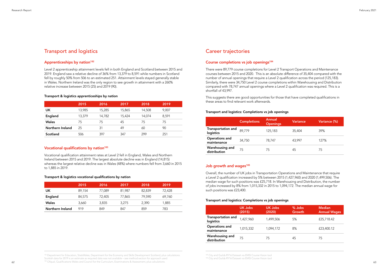62 63 of qual, [Qualifications Wales](https://www.qualificationswales.org/english/publications/vocational-quarterly-statistics/) and [Council for the Curriculum, Examinations & Assessment;](https://ccea.org.uk/regulation/reports-statistics/technical-and-professional-qualification-bulletins/browse-all) plus calculations. <sup>182</sup> [Department for Education](https://www.gov.uk/government/statistical-data-sets/fe-data-library-apprenticeships), [StatsWales,](https://statswales.gov.wales/Catalogue/Education-and-Skills/Post-16-Education-and-Training/Further-Education-and-Work-Based-Learning/Learners/Work-Based-Learning/apprenticeshiplearningprogrammesstarted-by-quarter-sector-programmetype) [Department for the Economy](https://www.economy-ni.gov.uk/articles/apprenticeshipsni-statistics) and [Skills Development Scotland](https://www.skillsdevelopmentscotland.co.uk/publications-statistics/statistics/modern-apprenticeships/?page=1&quarter%5B%5D=Q4&statisticCategoryId=4&type%5B%5D=10&order=date-desc); plus calculations. Scottish data for 2019 is an estimate as required data was not available – see method section for approach used.

## Transport and logistics

### Apprenticeships by nation<sup>182</sup>

Level 2 apprenticeship attainment levels fell in both England and Scotland between 2015 and 2019. England saw a relative decline of 36% from 13,379 to 8,591 while numbers in Scotland fell by roughly 50% from 506 to an estimated 251. Attainment levels stayed generally stable in Wales. Northern Ireland was the only region to see growth in attainment with a 260% relative increase between 2015 (25) and 2019 (90).

### Transport & logistics apprenticeships by nation

|                  | 2015   | 2016   | 2017   | 2018   | 2019  |
|------------------|--------|--------|--------|--------|-------|
| UK               | 13,985 | 15,285 | 15,865 | 14,508 | 9,007 |
| England          | 13,379 | 14,782 | 15,424 | 14,074 | 8,591 |
| <b>Wales</b>     | 75     | 75     | 45     | 75     | 75    |
| Northern Ireland | 25     | 31     | 49     | 60     | 90    |
| <b>Scotland</b>  | 506    | 397    | 347    | 299    | 251   |

### Vocational qualifications by nation<sup>183</sup>

### Transport & logistics vocational qualifications by nation

|                  | 2015   | 2016   | 2017   | 2018   | 2019   |
|------------------|--------|--------|--------|--------|--------|
| UK               | 89,154 | 77,089 | 81,987 | 82,839 | 72,428 |
| England          | 84,575 | 72,405 | 77,865 | 79,590 | 69,760 |
| Wales            | 3,660  | 3,835  | 3,275  | 2,390  | 1,885  |
| Northern Ireland | 919    | 849    | 847    | 859    | 783    |

Vocational qualification attainment rates at Level 2 fell in England, Wales and Northern Ireland between 2015 and 2019. The largest absolute decline was in England (14,815) whereas the largest relative decline was in Wales (48%) where numbers fell from 3,660 in 2015 to 1,885 in 2019.

## Career trajectories

### Course completions vs job openings<sup>184</sup>

There were 89,779 course completions for Level 2 Transport Operations and Maintenance courses between 2015 and 2020. This is an absolute difference of 35,404 compared with the number of annual openings that require a Level 2 qualification across the period (125,183). Similarly, there were 34,750 Level 2 course completions within Warehousing and Distribution compared with 78,747 annual openings where a Level 2 qualification was required. This is a shortfall of 43,997.

This suggests there are good opportunities for those that have completed qualifications in these areas to find relevant work afterwards.

Overall, the number of UK jobs in Transportation Operations and Maintenance that require a Level 2 qualification increased by 5% between 2015 (1,427,960) and 2020 (1,499,506). The median wage for such positions was £25,718. In Warehousing and Distribution, the number of jobs increased by 8% from 1,015,332 in 2015 to 1,094,172. The median annual wage for such positions was £23,400.

### Transport and logistics: Completions vs job openings

|                                      | <b>Completions</b> | <b>Annual</b><br><b>Openings</b> | <b>Variance</b> | Variance (%) |
|--------------------------------------|--------------------|----------------------------------|-----------------|--------------|
| Transportation and<br>logistics      | 89.779             | 125,183                          | 35,404          | 39%          |
| <b>Operations and</b><br>maintenance | 34,750             | 78,747                           | 43,997          | 127%         |
| Warehousing and<br>distribution      | 75                 | 75                               | 45              | 75           |

## Job growth and wages<sup>185</sup>

### Transport and logistics: Completions vs job openings

|                                      | <b>UK Jobs</b><br>(2015) | <b>UK Jobs</b><br>(2020) | % Jobs<br><b>Growth</b> | <b>Median</b><br><b>Annual Wages</b> |
|--------------------------------------|--------------------------|--------------------------|-------------------------|--------------------------------------|
| Transportation and<br>logistics      | 1,427,960                | 1,499,506                | 5%                      | £25,718.42                           |
| <b>Operations and</b><br>maintenance | 1,015,332                | 1,094,172                | 8%                      | £23,400.12                           |
| Warehousing and<br>distribution      | 75                       | 75                       | 45                      | 75                                   |
|                                      |                          |                          |                         |                                      |

184 City and Guilds RY16 Dataset via EMSI Course Vision tool

<sup>185</sup> City and Guilds RY16 Dataset via EMSI Course Vision tool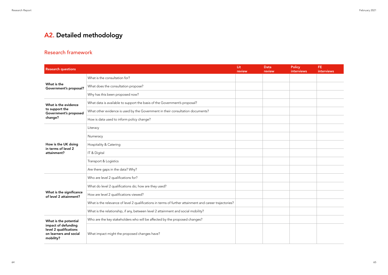# A2. Detailed methodology

## Research framework

| Lit<br><b>Research questions</b><br>review                                                                    |                                                                                                         | <b>Data</b><br>review | <b>Policy</b><br>interviews | FE.<br>interviews |  |
|---------------------------------------------------------------------------------------------------------------|---------------------------------------------------------------------------------------------------------|-----------------------|-----------------------------|-------------------|--|
| What is the<br>Government's proposal?                                                                         | What is the consultation for?                                                                           |                       |                             |                   |  |
|                                                                                                               | What does the consultation propose?                                                                     |                       |                             |                   |  |
|                                                                                                               | Why has this been proposed now?                                                                         |                       |                             |                   |  |
| What is the evidence<br>to support the<br>Government's proposed<br>change?                                    | What data is available to support the basis of the Government's proposal?                               |                       |                             |                   |  |
|                                                                                                               | What other evidence is used by the Government in their consultation documents?                          |                       |                             |                   |  |
|                                                                                                               | How is data used to inform policy change?                                                               |                       |                             |                   |  |
| How is the UK doing<br>in terms of level 2<br>attainment?                                                     | Literacy                                                                                                |                       |                             |                   |  |
|                                                                                                               | Numeracy                                                                                                |                       |                             |                   |  |
|                                                                                                               | Hospitality & Catering                                                                                  |                       |                             |                   |  |
|                                                                                                               | IT & Digital                                                                                            |                       |                             |                   |  |
|                                                                                                               | Transport & Logistics                                                                                   |                       |                             |                   |  |
|                                                                                                               | Are there gaps in the data? Why?                                                                        |                       |                             |                   |  |
| What is the significance<br>of level 2 attainment?                                                            | Who are level 2 qualifications for?                                                                     |                       |                             |                   |  |
|                                                                                                               | What do level 2 qualifications do; how are they used?                                                   |                       |                             |                   |  |
|                                                                                                               | How are level 2 qualifications viewed?                                                                  |                       |                             |                   |  |
|                                                                                                               | What is the relevance of level 2 qualifications in terms of further attainment and career trajectories? |                       |                             |                   |  |
|                                                                                                               | What is the relationship, if any, between level 2 attainment and social mobility?                       |                       |                             |                   |  |
| What is the potential<br>impact of defunding<br>level 2 qualifications<br>on learners and social<br>mobility? | Who are the key stakeholders who will be affected by the proposed changes?                              |                       |                             |                   |  |
|                                                                                                               | What impact might the proposed changes have?                                                            |                       |                             |                   |  |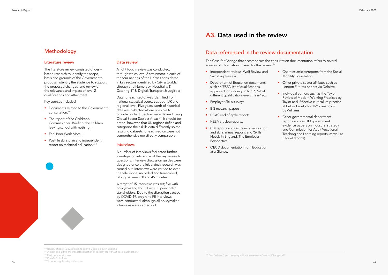66

<sup>210</sup> [Review of post-16 qualifications at level 3 and below in England](https://consult.education.gov.uk/post-16-qualifications-review-team/post-16-level-3-and-below-qualifications-review/)

<sup>211</sup> Almost one in five children left education at 18 last year without basic qualifications

- <sup>212</sup> Feel poor, work more 213 [Post-16 Skills Plan](https://assets.publishing.service.gov.uk/government/uploads/system/uploads/attachment_data/file/536043/Post-16_Skills_Plan.pdf)
- <sup>214</sup> [Types of regulated qualifications](https://www.gov.uk/government/publications/types-of-regulated-qualifications)

186 Post 16 level 3 and below qualifications review - Case for Change.pdf

## Methodology

## Literature review

The literature review consisted of deskbased research to identify the scope, basis and grounds of the Government's proposal; identify the evidence to support the proposed changes; and review of the relevance and impact of level 2 qualifications and attainment.

Key sources included:

- Documents related to the Government's consultation.210
- The report of the Children's Commissioner: Briefing: the children leaving school with nothing.211
- Feel Poor Work More.<sup>212</sup>
- Post-16 skills plan and independent report on technical education.213



## Data review

A light touch review was conducted, through which level 2 attainment in each of the four nations of the UK was considered in key sectors identified by City & Guilds: Literacy and Numeracy; Hospitality & Catering; IT & Digital; Transport & Logistics.

Data for each sector was identified from national statistical sources at both UK and regional level. Five years worth of historical data was collected where possible to provide context. Sectors were defined using Ofqual Sector Subject Areas.214 It should be noted, however, that UK regions define and categorise their skills data differently so the resulting datasets for each region were not comprehensive nor directly comparable.

## Interviews

A number of interviews facilitated further investigation into some of the key research questions; interview discussion guides were designed once the initial desk research was carried out. Interviews were carried to over the telephone, recorded and transcribed, taking between 30 and 45 minutes.

A target of 15 interviews was set; five with policymakers, and 10 with FE principals/ stakeholders. Due to the disruption caused by COVID-19, only nine FE interviews were conducted, although all policymaker interviews were carried out.

## A3. Data used in the review

## Data referenced in the review documentation

The Case for Change that accompanies the consultation documentation refers to several sources of information utilised for the review:186

- Independent reviews: Wolf Review and Sainsbury Review.
- Department of Education documents such as 'ESFA list of qualifications approved for funding 16 to 19', 'what different qualification levels mean' etc.
- Employer Skills surveys.
- BIS research papers.
- UCAS end of cycle reports.
- HESA articles/reports.
- CBI reports such as Pearson education and skills annual reports and 'Skills Needs in England: The Employer Perspective'.
- OECD documentation from Education at a Glance.

- Charities articles/reports from the Social Mobility Foundation.
- Other private sector affiliates such as London Futures papers via Deloitte.
- Individual authors such as the Taylor Review of Modern Working Practices by Taylor and 'Effective curriculum practice at below Level 2 for 16/17 year olds'

by Williams.

• Other governmental department reports such as HM government evidence papers on industrial strategy and Commission for Adult Vocational Teaching and Learning reports (as well as Ofqual reports).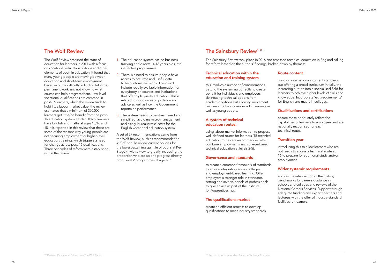The Wolf Review assessed the state of education for learners in 2011 with a focus on vocational education options and other elements of post-16 education. It found that many young people are moving between education and short-term employment because of the difficulty in finding full-time, permanent work and not knowing what course can help progress them. Low-level vocational qualifications are common in post-16 learners, which the review finds to hold little labour market value; the review estimated that a minimum of 350,000 learners get little/no benefit from the post-16 education system. Under 50% of learners have English and maths at ages 15/16 and 18. It is reported in this review that these are some of the reasons why young people are not securing employment or higher-level education/training, which triggers a need for change across post-16 qualifications. Three principles of reform were established within the review:

## The Wolf Review

- 1. The education system has no business tracking and directs 14-16 years olds into ineffective programmes.
- 2. There is a need to ensure people have access to accurate and useful data to help inform decisions. This could include readily available information for everybody on courses and institutions that offer high quality education. This is related to good careers guidance and advice as well as how the Government reports on performance.
- 3. The system needs to be streamlined and simplified, avoiding micro-management and rising 'bureaucratic' costs for the English vocational education system.

A set of 27 recommendations came from the Wolf Review; such as recommendation 4: 'DfE should review current policies for the lowest-attaining quintile of pupils at Key Stage 4, with a view to greatly increasing the proportion who are able to progress directly onto Level 2 programmes at age 16.'

## The Sainsbury Review<sup>188</sup>

The Sainsbury Review took place in 2016 and assessed technical education in England calling for reform based on the authors' findings, broken down by themes:

## Technical education within the education and training system

this involves a number of considerations. Setting the system up correctly to create benefit for individuals and employers; delineating technical options from academic options but allowing movement between the two; consider adult learners as well as young people.

## A system of technical education routes:

using labour market information to propose well-defined routes for learners (15 technical education routes are recommended which combine employment- and college-based technical education at levels 2-5).

## Governance and standards

to create a common framework of standards to ensure integration across collegeand employment-based learning. Offer employers a stronger role in standardssetting and involve panels of professionals to give advice as part of the Institute for Apprenticeships.

### The qualifications market

create an efficient process to develop qualifications to meet industry standards.

### Route content

build on internationals content standards but offering a broad curriculum initially, the increasing a route into a specialised field for learners to achieve higher levels of skills and knowledge. Incorporate 'exit requirements' for English and maths in colleges.

## Qualifications and certifications

ensure these adequately reflect the capabilities of learners to employers and are nationally recognised for each

technical route.

## Transition year

introducing this to allow learners who are not ready to access a technical route at 16 to prepare for additional study and/or employment.

## Wider systemic requirements

such as the introduction of the Gatsby benchmarks for careers guidance in schools and colleges and reviews of the National Careers Services. Support through adequate funding and expert teachers and lecturers with the offer of industry-standard facilities for learners.